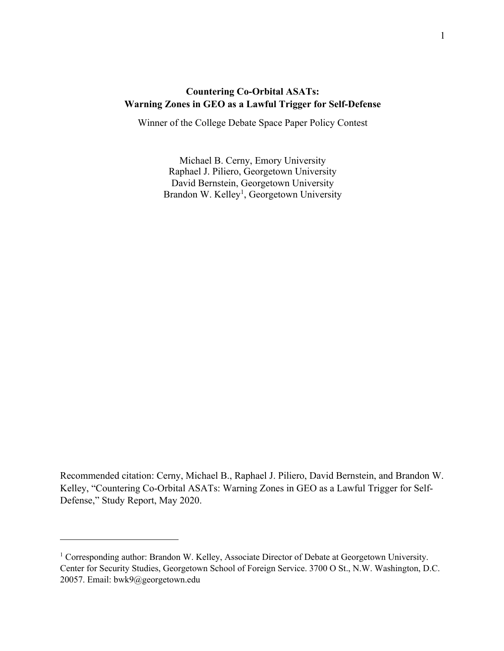# **Countering Co-Orbital ASATs: Warning Zones in GEO as a Lawful Trigger for Self-Defense**

Winner of the College Debate Space Paper Policy Contest

Michael B. Cerny, Emory University Raphael J. Piliero, Georgetown University David Bernstein, Georgetown University Brandon W. Kelley<sup>1</sup>, Georgetown University

Recommended citation: Cerny, Michael B., Raphael J. Piliero, David Bernstein, and Brandon W. Kelley, "Countering Co-Orbital ASATs: Warning Zones in GEO as a Lawful Trigger for Self-Defense," Study Report, May 2020.

<sup>&</sup>lt;sup>1</sup> Corresponding author: Brandon W. Kelley, Associate Director of Debate at Georgetown University. Center for Security Studies, Georgetown School of Foreign Service. 3700 O St., N.W. Washington, D.C. 20057. Email: bwk9@georgetown.edu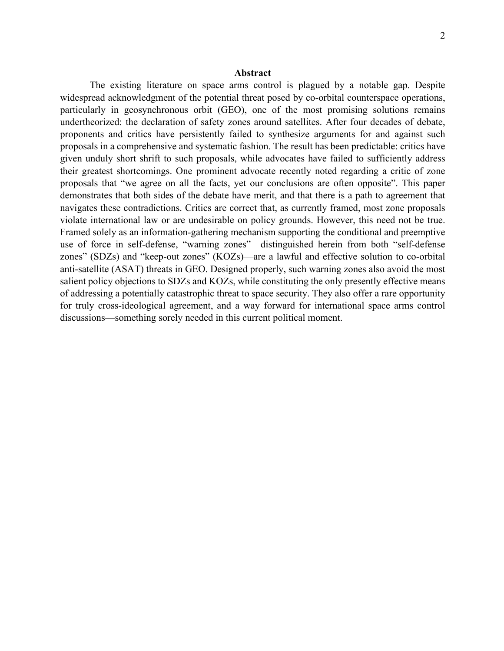#### **Abstract**

The existing literature on space arms control is plagued by a notable gap. Despite widespread acknowledgment of the potential threat posed by co-orbital counterspace operations, particularly in geosynchronous orbit (GEO), one of the most promising solutions remains undertheorized: the declaration of safety zones around satellites. After four decades of debate, proponents and critics have persistently failed to synthesize arguments for and against such proposals in a comprehensive and systematic fashion. The result has been predictable: critics have given unduly short shrift to such proposals, while advocates have failed to sufficiently address their greatest shortcomings. One prominent advocate recently noted regarding a critic of zone proposals that "we agree on all the facts, yet our conclusions are often opposite". This paper demonstrates that both sides of the debate have merit, and that there is a path to agreement that navigates these contradictions. Critics are correct that, as currently framed, most zone proposals violate international law or are undesirable on policy grounds. However, this need not be true. Framed solely as an information-gathering mechanism supporting the conditional and preemptive use of force in self-defense, "warning zones"—distinguished herein from both "self-defense zones" (SDZs) and "keep-out zones" (KOZs)—are a lawful and effective solution to co-orbital anti-satellite (ASAT) threats in GEO. Designed properly, such warning zones also avoid the most salient policy objections to SDZs and KOZs, while constituting the only presently effective means of addressing a potentially catastrophic threat to space security. They also offer a rare opportunity for truly cross-ideological agreement, and a way forward for international space arms control discussions—something sorely needed in this current political moment.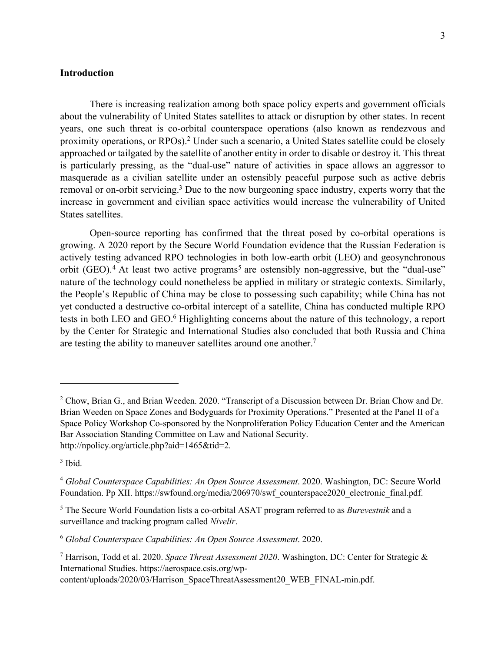### **Introduction**

There is increasing realization among both space policy experts and government officials about the vulnerability of United States satellites to attack or disruption by other states. In recent years, one such threat is co-orbital counterspace operations (also known as rendezvous and proximity operations, or RPOs).2 Under such a scenario, a United States satellite could be closely approached or tailgated by the satellite of another entity in order to disable or destroy it. This threat is particularly pressing, as the "dual-use" nature of activities in space allows an aggressor to masquerade as a civilian satellite under an ostensibly peaceful purpose such as active debris removal or on-orbit servicing.<sup>3</sup> Due to the now burgeoning space industry, experts worry that the increase in government and civilian space activities would increase the vulnerability of United States satellites.

Open-source reporting has confirmed that the threat posed by co-orbital operations is growing. A 2020 report by the Secure World Foundation evidence that the Russian Federation is actively testing advanced RPO technologies in both low-earth orbit (LEO) and geosynchronous orbit (GEO).<sup>4</sup> At least two active programs<sup>5</sup> are ostensibly non-aggressive, but the "dual-use" nature of the technology could nonetheless be applied in military or strategic contexts. Similarly, the People's Republic of China may be close to possessing such capability; while China has not yet conducted a destructive co-orbital intercept of a satellite, China has conducted multiple RPO tests in both LEO and GEO.<sup>6</sup> Highlighting concerns about the nature of this technology, a report by the Center for Strategic and International Studies also concluded that both Russia and China are testing the ability to maneuver satellites around one another.<sup>7</sup>

 $3$  Ibid.

<sup>&</sup>lt;sup>2</sup> Chow, Brian G., and Brian Weeden. 2020. "Transcript of a Discussion between Dr. Brian Chow and Dr. Brian Weeden on Space Zones and Bodyguards for Proximity Operations." Presented at the Panel II of a Space Policy Workshop Co-sponsored by the Nonproliferation Policy Education Center and the American Bar Association Standing Committee on Law and National Security. http://npolicy.org/article.php?aid=1465&tid=2.

<sup>4</sup> *Global Counterspace Capabilities: An Open Source Assessment*. 2020. Washington, DC: Secure World Foundation. Pp XII. https://swfound.org/media/206970/swf\_counterspace2020\_electronic\_final.pdf.

<sup>5</sup> The Secure World Foundation lists a co-orbital ASAT program referred to as *Burevestnik* and a surveillance and tracking program called *Nivelir*.

<sup>6</sup> *Global Counterspace Capabilities: An Open Source Assessment*. 2020.

<sup>7</sup> Harrison, Todd et al. 2020. *Space Threat Assessment 2020*. Washington, DC: Center for Strategic & International Studies. https://aerospace.csis.org/wp-

content/uploads/2020/03/Harrison\_SpaceThreatAssessment20\_WEB\_FINAL-min.pdf.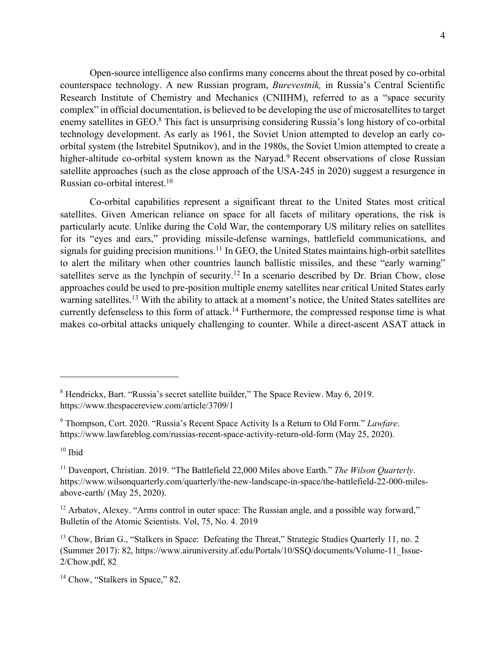Open-source intelligence also confirms many concerns about the threat posed by co-orbital counterspace technology. A new Russian program, *Burevestnik,* in Russia's Central Scientific Research Institute of Chemistry and Mechanics (CNIIHM), referred to as a "space security complex" in official documentation, is believed to be developing the use of microsatellites to target enemy satellites in GEO.<sup>8</sup> This fact is unsurprising considering Russia's long history of co-orbital technology development. As early as 1961, the Soviet Union attempted to develop an early coorbital system (the Istrebitel Sputnikov), and in the 1980s, the Soviet Umion attempted to create a higher-altitude co-orbital system known as the Naryad.<sup>9</sup> Recent observations of close Russian satellite approaches (such as the close approach of the USA-245 in 2020) suggest a resurgence in Russian co-orbital interest.10

Co-orbital capabilities represent a significant threat to the United States most critical satellites. Given American reliance on space for all facets of military operations, the risk is particularly acute. Unlike during the Cold War, the contemporary US military relies on satellites for its "eyes and ears," providing missile-defense warnings, battlefield communications, and signals for guiding precision munitions.<sup>11</sup> In GEO, the United States maintains high-orbit satellites to alert the military when other countries launch ballistic missiles, and these "early warning" satellites serve as the lynchpin of security.<sup>12</sup> In a scenario described by Dr. Brian Chow, close approaches could be used to pre-position multiple enemy satellites near critical United States early warning satellites.<sup>13</sup> With the ability to attack at a moment's notice, the United States satellites are currently defenseless to this form of attack.<sup>14</sup> Furthermore, the compressed response time is what makes co-orbital attacks uniquely challenging to counter. While a direct-ascent ASAT attack in

<sup>8</sup> Hendrickx, Bart. "Russia's secret satellite builder," The Space Review. May 6, 2019. https://www.thespacereview.com/article/3709/1

<sup>9</sup> Thompson, Cort. 2020. "Russia's Recent Space Activity Is a Return to Old Form." *Lawfare*. https://www.lawfareblog.com/russias-recent-space-activity-return-old-form (May 25, 2020).

 $10$  Ibid

<sup>11</sup> Davenport, Christian. 2019. "The Battlefield 22,000 Miles above Earth." *The Wilson Quarterly*. https://www.wilsonquarterly.com/quarterly/the-new-landscape-in-space/the-battlefield-22-000-milesabove-earth/ (May 25, 2020).

<sup>&</sup>lt;sup>12</sup> Arbatov, Alexey. "Arms control in outer space: The Russian angle, and a possible way forward," Bulletin of the Atomic Scientists. Vol, 75, No. 4. 2019

<sup>&</sup>lt;sup>13</sup> Chow, Brian G., "Stalkers in Space: Defeating the Threat," Strategic Studies Quarterly 11, no. 2 (Summer 2017): 82, https://www.airuniversity.af.edu/Portals/10/SSQ/documents/Volume-11\_Issue-2/Chow.pdf, 82

<sup>&</sup>lt;sup>14</sup> Chow, "Stalkers in Space," 82.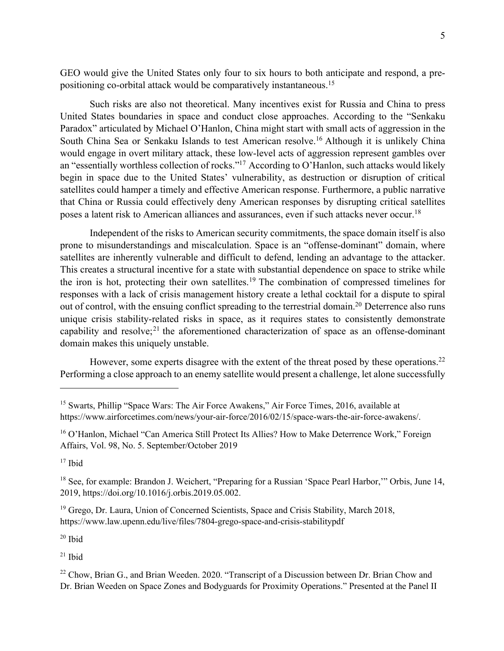GEO would give the United States only four to six hours to both anticipate and respond, a prepositioning co-orbital attack would be comparatively instantaneous.15

Such risks are also not theoretical. Many incentives exist for Russia and China to press United States boundaries in space and conduct close approaches. According to the "Senkaku Paradox" articulated by Michael O'Hanlon, China might start with small acts of aggression in the South China Sea or Senkaku Islands to test American resolve. <sup>16</sup> Although it is unlikely China would engage in overt military attack, these low-level acts of aggression represent gambles over an "essentially worthless collection of rocks."17 According to O'Hanlon, such attacks would likely begin in space due to the United States' vulnerability, as destruction or disruption of critical satellites could hamper a timely and effective American response. Furthermore, a public narrative that China or Russia could effectively deny American responses by disrupting critical satellites poses a latent risk to American alliances and assurances, even if such attacks never occur.<sup>18</sup>

Independent of the risks to American security commitments, the space domain itself is also prone to misunderstandings and miscalculation. Space is an "offense-dominant" domain, where satellites are inherently vulnerable and difficult to defend, lending an advantage to the attacker. This creates a structural incentive for a state with substantial dependence on space to strike while the iron is hot, protecting their own satellites.19 The combination of compressed timelines for responses with a lack of crisis management history create a lethal cocktail for a dispute to spiral out of control, with the ensuing conflict spreading to the terrestrial domain.<sup>20</sup> Deterrence also runs unique crisis stability-related risks in space, as it requires states to consistently demonstrate capability and resolve;<sup>21</sup> the aforementioned characterization of space as an offense-dominant domain makes this uniquely unstable.

However, some experts disagree with the extent of the threat posed by these operations.<sup>22</sup> Performing a close approach to an enemy satellite would present a challenge, let alone successfully

 $17$  Ibid

 $20$  Ibid

 $21$  Ibid

<sup>&</sup>lt;sup>15</sup> Swarts, Phillip "Space Wars: The Air Force Awakens," Air Force Times, 2016, available at https://www.airforcetimes.com/news/your-air-force/2016/02/15/space-wars-the-air-force-awakens/.

<sup>&</sup>lt;sup>16</sup> O'Hanlon, Michael "Can America Still Protect Its Allies? How to Make Deterrence Work," Foreign Affairs, Vol. 98, No. 5. September/October 2019

<sup>&</sup>lt;sup>18</sup> See, for example: Brandon J. Weichert, "Preparing for a Russian 'Space Pearl Harbor," Orbis, June 14, 2019, https://doi.org/10.1016/j.orbis.2019.05.002.

<sup>&</sup>lt;sup>19</sup> Grego, Dr. Laura, Union of Concerned Scientists, Space and Crisis Stability, March 2018, https://www.law.upenn.edu/live/files/7804-grego-space-and-crisis-stabilitypdf

<sup>&</sup>lt;sup>22</sup> Chow, Brian G., and Brian Weeden. 2020. "Transcript of a Discussion between Dr. Brian Chow and Dr. Brian Weeden on Space Zones and Bodyguards for Proximity Operations." Presented at the Panel II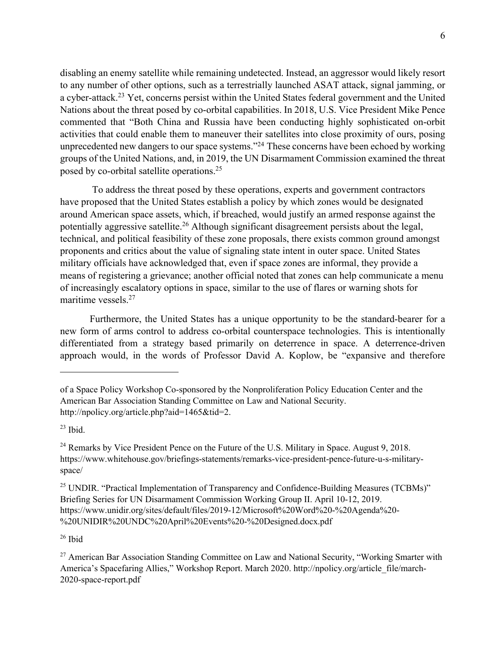disabling an enemy satellite while remaining undetected. Instead, an aggressor would likely resort to any number of other options, such as a terrestrially launched ASAT attack, signal jamming, or a cyber-attack.<sup>23</sup> Yet, concerns persist within the United States federal government and the United Nations about the threat posed by co-orbital capabilities. In 2018, U.S. Vice President Mike Pence commented that "Both China and Russia have been conducting highly sophisticated on-orbit activities that could enable them to maneuver their satellites into close proximity of ours, posing unprecedented new dangers to our space systems."<sup>24</sup> These concerns have been echoed by working groups of the United Nations, and, in 2019, the UN Disarmament Commission examined the threat posed by co-orbital satellite operations.<sup>25</sup>

To address the threat posed by these operations, experts and government contractors have proposed that the United States establish a policy by which zones would be designated around American space assets, which, if breached, would justify an armed response against the potentially aggressive satellite.26 Although significant disagreement persists about the legal, technical, and political feasibility of these zone proposals, there exists common ground amongst proponents and critics about the value of signaling state intent in outer space. United States military officials have acknowledged that, even if space zones are informal, they provide a means of registering a grievance; another official noted that zones can help communicate a menu of increasingly escalatory options in space, similar to the use of flares or warning shots for maritime vessels.<sup>27</sup>

Furthermore, the United States has a unique opportunity to be the standard-bearer for a new form of arms control to address co-orbital counterspace technologies. This is intentionally differentiated from a strategy based primarily on deterrence in space. A deterrence-driven approach would, in the words of Professor David A. Koplow, be "expansive and therefore

 $23$  Ibid.

 $26$  Ibid

of a Space Policy Workshop Co-sponsored by the Nonproliferation Policy Education Center and the American Bar Association Standing Committee on Law and National Security. http://npolicy.org/article.php?aid=1465&tid=2.

<sup>&</sup>lt;sup>24</sup> Remarks by Vice President Pence on the Future of the U.S. Military in Space. August 9, 2018. https://www.whitehouse.gov/briefings-statements/remarks-vice-president-pence-future-u-s-militaryspace/

<sup>&</sup>lt;sup>25</sup> UNDIR. "Practical Implementation of Transparency and Confidence-Building Measures (TCBMs)" Briefing Series for UN Disarmament Commission Working Group II. April 10-12, 2019. https://www.unidir.org/sites/default/files/2019-12/Microsoft%20Word%20-%20Agenda%20- %20UNIDIR%20UNDC%20April%20Events%20-%20Designed.docx.pdf

 $27$  American Bar Association Standing Committee on Law and National Security, "Working Smarter with America's Spacefaring Allies," Workshop Report. March 2020. http://npolicy.org/article\_file/march-2020-space-report.pdf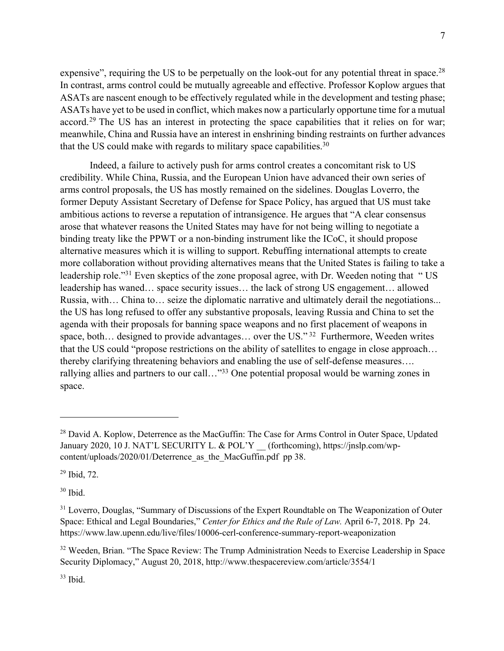expensive", requiring the US to be perpetually on the look-out for any potential threat in space.<sup>28</sup> In contrast, arms control could be mutually agreeable and effective. Professor Koplow argues that ASATs are nascent enough to be effectively regulated while in the development and testing phase; ASATs have yet to be used in conflict, which makes now a particularly opportune time for a mutual accord.<sup>29</sup> The US has an interest in protecting the space capabilities that it relies on for war; meanwhile, China and Russia have an interest in enshrining binding restraints on further advances that the US could make with regards to military space capabilities. $30$ 

Indeed, a failure to actively push for arms control creates a concomitant risk to US credibility. While China, Russia, and the European Union have advanced their own series of arms control proposals, the US has mostly remained on the sidelines. Douglas Loverro, the former Deputy Assistant Secretary of Defense for Space Policy, has argued that US must take ambitious actions to reverse a reputation of intransigence. He argues that "A clear consensus arose that whatever reasons the United States may have for not being willing to negotiate a binding treaty like the PPWT or a non-binding instrument like the ICoC, it should propose alternative measures which it is willing to support. Rebuffing international attempts to create more collaboration without providing alternatives means that the United States is failing to take a leadership role."<sup>31</sup> Even skeptics of the zone proposal agree, with Dr. Weeden noting that "US leadership has waned… space security issues… the lack of strong US engagement… allowed Russia, with… China to… seize the diplomatic narrative and ultimately derail the negotiations... the US has long refused to offer any substantive proposals, leaving Russia and China to set the agenda with their proposals for banning space weapons and no first placement of weapons in space, both... designed to provide advantages... over the US."<sup>32</sup> Furthermore, Weeden writes that the US could "propose restrictions on the ability of satellites to engage in close approach… thereby clarifying threatening behaviors and enabling the use of self-defense measures…. rallying allies and partners to our call..."<sup>33</sup> One potential proposal would be warning zones in space.

<sup>&</sup>lt;sup>28</sup> David A. Koplow, Deterrence as the MacGuffin: The Case for Arms Control in Outer Space, Updated January 2020, 10 J. NAT'L SECURITY L. & POL'Y \_\_ (forthcoming), https://jnslp.com/wpcontent/uploads/2020/01/Deterrence as the MacGuffin.pdf pp 38.

<sup>29</sup> Ibid, 72.

 $30$  Ibid.

<sup>&</sup>lt;sup>31</sup> Loverro, Douglas, "Summary of Discussions of the Expert Roundtable on The Weaponization of Outer Space: Ethical and Legal Boundaries," *Center for Ethics and the Rule of Law.* April 6-7, 2018. Pp 24. https://www.law.upenn.edu/live/files/10006-cerl-conference-summary-report-weaponization

<sup>&</sup>lt;sup>32</sup> Weeden, Brian. "The Space Review: The Trump Administration Needs to Exercise Leadership in Space Security Diplomacy," August 20, 2018, http://www.thespacereview.com/article/3554/1

<sup>33</sup> Ibid.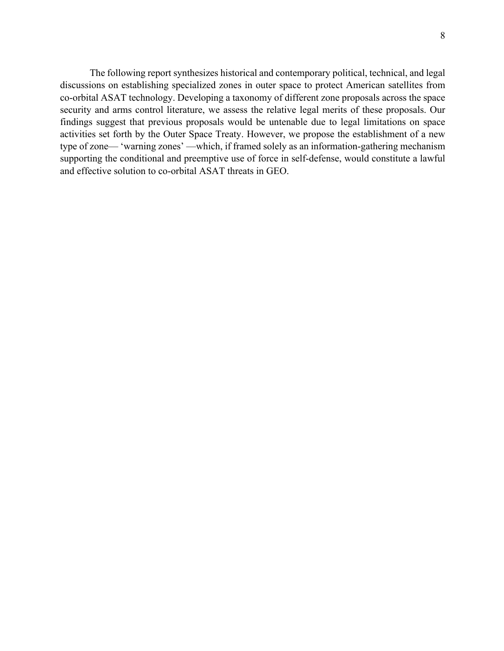The following report synthesizes historical and contemporary political, technical, and legal discussions on establishing specialized zones in outer space to protect American satellites from co-orbital ASAT technology. Developing a taxonomy of different zone proposals across the space security and arms control literature, we assess the relative legal merits of these proposals. Our findings suggest that previous proposals would be untenable due to legal limitations on space activities set forth by the Outer Space Treaty. However, we propose the establishment of a new type of zone— 'warning zones' —which, if framed solely as an information-gathering mechanism supporting the conditional and preemptive use of force in self-defense, would constitute a lawful and effective solution to co-orbital ASAT threats in GEO.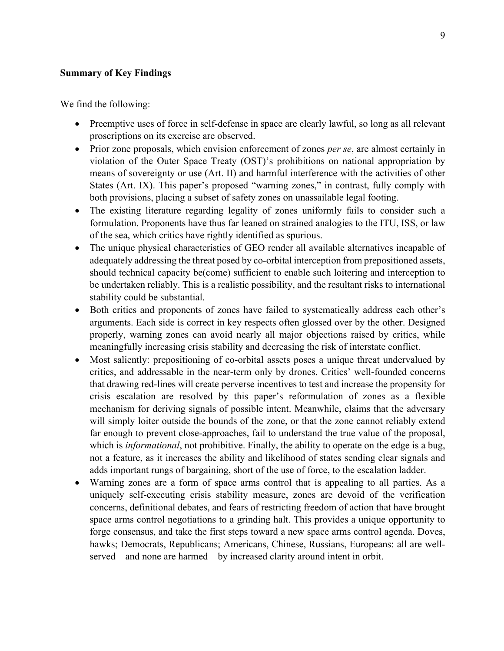### **Summary of Key Findings**

We find the following:

- Preemptive uses of force in self-defense in space are clearly lawful, so long as all relevant proscriptions on its exercise are observed.
- Prior zone proposals, which envision enforcement of zones *per se*, are almost certainly in violation of the Outer Space Treaty (OST)'s prohibitions on national appropriation by means of sovereignty or use (Art. II) and harmful interference with the activities of other States (Art. IX). This paper's proposed "warning zones," in contrast, fully comply with both provisions, placing a subset of safety zones on unassailable legal footing.
- The existing literature regarding legality of zones uniformly fails to consider such a formulation. Proponents have thus far leaned on strained analogies to the ITU, ISS, or law of the sea, which critics have rightly identified as spurious.
- The unique physical characteristics of GEO render all available alternatives incapable of adequately addressing the threat posed by co-orbital interception from prepositioned assets, should technical capacity be(come) sufficient to enable such loitering and interception to be undertaken reliably. This is a realistic possibility, and the resultant risks to international stability could be substantial.
- Both critics and proponents of zones have failed to systematically address each other's arguments. Each side is correct in key respects often glossed over by the other. Designed properly, warning zones can avoid nearly all major objections raised by critics, while meaningfully increasing crisis stability and decreasing the risk of interstate conflict.
- Most saliently: prepositioning of co-orbital assets poses a unique threat undervalued by critics, and addressable in the near-term only by drones. Critics' well-founded concerns that drawing red-lines will create perverse incentives to test and increase the propensity for crisis escalation are resolved by this paper's reformulation of zones as a flexible mechanism for deriving signals of possible intent. Meanwhile, claims that the adversary will simply loiter outside the bounds of the zone, or that the zone cannot reliably extend far enough to prevent close-approaches, fail to understand the true value of the proposal, which is *informational*, not prohibitive. Finally, the ability to operate on the edge is a bug, not a feature, as it increases the ability and likelihood of states sending clear signals and adds important rungs of bargaining, short of the use of force, to the escalation ladder.
- Warning zones are a form of space arms control that is appealing to all parties. As a uniquely self-executing crisis stability measure, zones are devoid of the verification concerns, definitional debates, and fears of restricting freedom of action that have brought space arms control negotiations to a grinding halt. This provides a unique opportunity to forge consensus, and take the first steps toward a new space arms control agenda. Doves, hawks; Democrats, Republicans; Americans, Chinese, Russians, Europeans: all are wellserved—and none are harmed—by increased clarity around intent in orbit.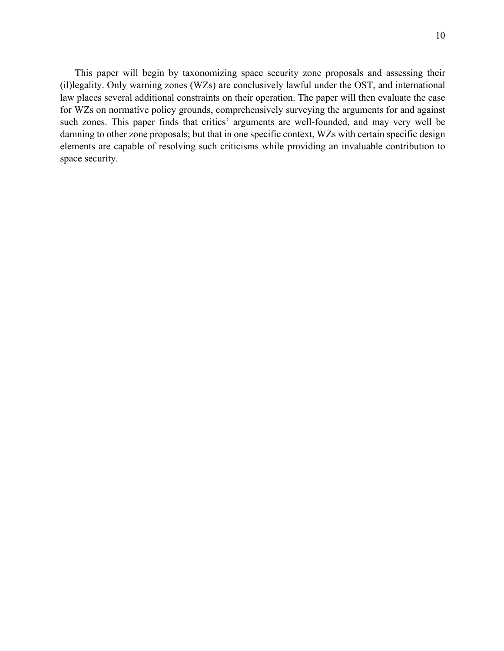This paper will begin by taxonomizing space security zone proposals and assessing their (il)legality. Only warning zones (WZs) are conclusively lawful under the OST, and international law places several additional constraints on their operation. The paper will then evaluate the case for WZs on normative policy grounds, comprehensively surveying the arguments for and against such zones. This paper finds that critics' arguments are well-founded, and may very well be damning to other zone proposals; but that in one specific context, WZs with certain specific design elements are capable of resolving such criticisms while providing an invaluable contribution to space security.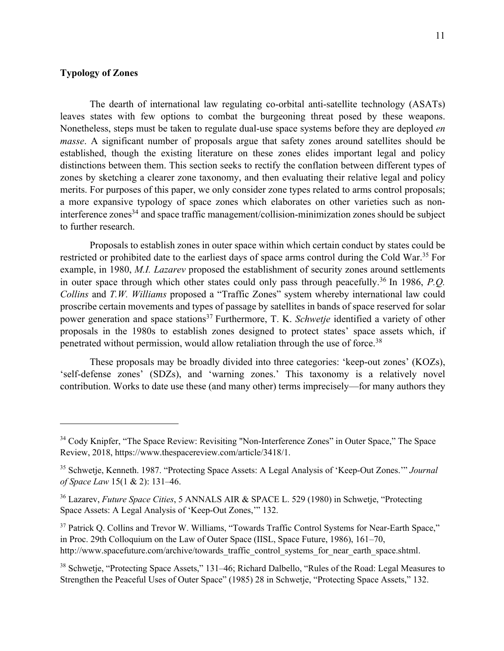## **Typology of Zones**

The dearth of international law regulating co-orbital anti-satellite technology (ASATs) leaves states with few options to combat the burgeoning threat posed by these weapons. Nonetheless, steps must be taken to regulate dual-use space systems before they are deployed *en masse*. A significant number of proposals argue that safety zones around satellites should be established, though the existing literature on these zones elides important legal and policy distinctions between them. This section seeks to rectify the conflation between different types of zones by sketching a clearer zone taxonomy, and then evaluating their relative legal and policy merits. For purposes of this paper, we only consider zone types related to arms control proposals; a more expansive typology of space zones which elaborates on other varieties such as noninterference zones<sup>34</sup> and space traffic management/collision-minimization zones should be subject to further research.

Proposals to establish zones in outer space within which certain conduct by states could be restricted or prohibited date to the earliest days of space arms control during the Cold War.<sup>35</sup> For example, in 1980, *M.I. Lazarev* proposed the establishment of security zones around settlements in outer space through which other states could only pass through peacefully.<sup>36</sup> In 1986, *P.O. Collins* and *T.W. Williams* proposed a "Traffic Zones" system whereby international law could proscribe certain movements and types of passage by satellites in bands of space reserved for solar power generation and space stations<sup>37</sup> Furthermore, T. K. *Schwetje* identified a variety of other proposals in the 1980s to establish zones designed to protect states' space assets which, if penetrated without permission, would allow retaliation through the use of force.<sup>38</sup>

These proposals may be broadly divided into three categories: 'keep-out zones' (KOZs), 'self-defense zones' (SDZs), and 'warning zones.' This taxonomy is a relatively novel contribution. Works to date use these (and many other) terms imprecisely—for many authors they

<sup>&</sup>lt;sup>34</sup> Cody Knipfer, "The Space Review: Revisiting "Non-Interference Zones" in Outer Space," The Space Review, 2018, https://www.thespacereview.com/article/3418/1.

<sup>35</sup> Schwetje, Kenneth. 1987. "Protecting Space Assets: A Legal Analysis of 'Keep-Out Zones.'" *Journal of Space Law* 15(1 & 2): 131–46.

<sup>36</sup> Lazarev, *Future Space Cities*, 5 ANNALS AIR & SPACE L. 529 (1980) in Schwetje, "Protecting Space Assets: A Legal Analysis of 'Keep-Out Zones,'" 132.

<sup>&</sup>lt;sup>37</sup> Patrick Q. Collins and Trevor W. Williams, "Towards Traffic Control Systems for Near-Earth Space," in Proc. 29th Colloquium on the Law of Outer Space (IISL, Space Future, 1986), 161–70, http://www.spacefuture.com/archive/towards\_traffic\_control\_systems\_for\_near\_earth\_space.shtml.

<sup>&</sup>lt;sup>38</sup> Schwetje, "Protecting Space Assets," 131–46; Richard Dalbello, "Rules of the Road: Legal Measures to Strengthen the Peaceful Uses of Outer Space" (1985) 28 in Schwetje, "Protecting Space Assets," 132.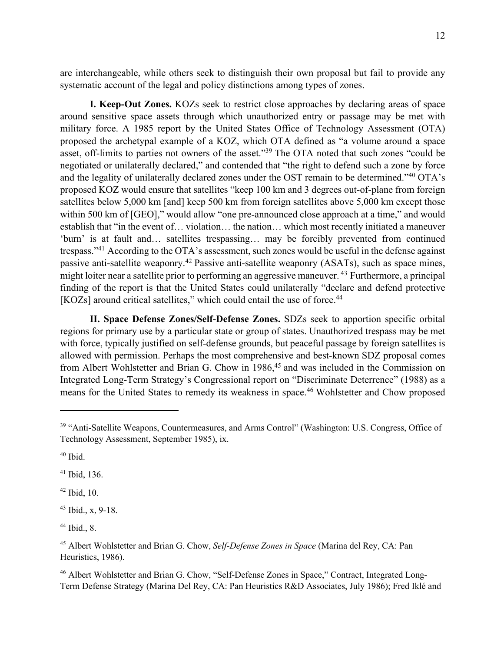are interchangeable, while others seek to distinguish their own proposal but fail to provide any systematic account of the legal and policy distinctions among types of zones.

**I. Keep-Out Zones.** KOZs seek to restrict close approaches by declaring areas of space around sensitive space assets through which unauthorized entry or passage may be met with military force. A 1985 report by the United States Office of Technology Assessment (OTA) proposed the archetypal example of a KOZ, which OTA defined as "a volume around a space asset, off-limits to parties not owners of the asset."39 The OTA noted that such zones "could be negotiated or unilaterally declared," and contended that "the right to defend such a zone by force and the legality of unilaterally declared zones under the OST remain to be determined."40 OTA's proposed KOZ would ensure that satellites "keep 100 km and 3 degrees out-of-plane from foreign satellites below 5,000 km [and] keep 500 km from foreign satellites above 5,000 km except those within 500 km of [GEO]," would allow "one pre-announced close approach at a time," and would establish that "in the event of… violation… the nation… which most recently initiated a maneuver 'burn' is at fault and… satellites trespassing… may be forcibly prevented from continued trespass."41 According to the OTA's assessment, such zones would be useful in the defense against passive anti-satellite weaponry.42 Passive anti-satellite weaponry (ASATs), such as space mines, might loiter near a satellite prior to performing an aggressive maneuver.<sup>43</sup> Furthermore, a principal finding of the report is that the United States could unilaterally "declare and defend protective [KOZs] around critical satellites," which could entail the use of force.<sup>44</sup>

**II. Space Defense Zones/Self-Defense Zones.** SDZs seek to apportion specific orbital regions for primary use by a particular state or group of states. Unauthorized trespass may be met with force, typically justified on self-defense grounds, but peaceful passage by foreign satellites is allowed with permission. Perhaps the most comprehensive and best-known SDZ proposal comes from Albert Wohlstetter and Brian G. Chow in 1986,<sup>45</sup> and was included in the Commission on Integrated Long-Term Strategy's Congressional report on "Discriminate Deterrence" (1988) as a means for the United States to remedy its weakness in space.<sup>46</sup> Wohlstetter and Chow proposed

<sup>41</sup> Ibid, 136.

 $42$  Ibid, 10.

 $43$  Ibid., x, 9-18.

 $44$  Ibid., 8.

<sup>&</sup>lt;sup>39</sup> "Anti-Satellite Weapons, Countermeasures, and Arms Control" (Washington: U.S. Congress, Office of Technology Assessment, September 1985), ix.

 $40$  Ibid.

<sup>45</sup> Albert Wohlstetter and Brian G. Chow, *Self-Defense Zones in Space* (Marina del Rey, CA: Pan Heuristics, 1986).

<sup>&</sup>lt;sup>46</sup> Albert Wohlstetter and Brian G. Chow, "Self-Defense Zones in Space," Contract, Integrated Long-Term Defense Strategy (Marina Del Rey, CA: Pan Heuristics R&D Associates, July 1986); Fred Iklé and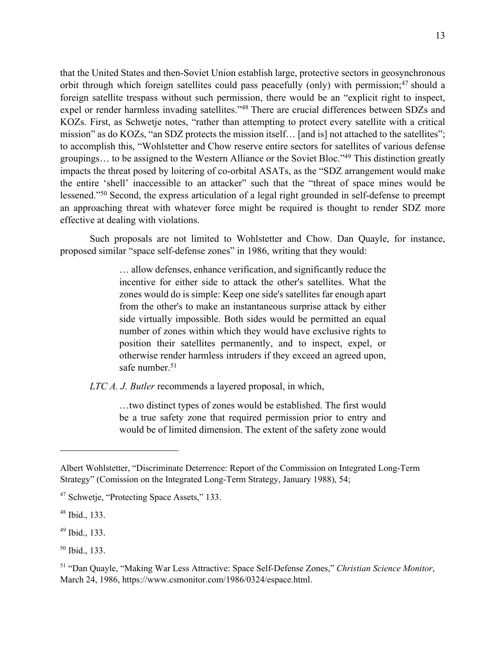that the United States and then-Soviet Union establish large, protective sectors in geosynchronous orbit through which foreign satellites could pass peacefully (only) with permission;<sup>47</sup> should a foreign satellite trespass without such permission, there would be an "explicit right to inspect, expel or render harmless invading satellites."48 There are crucial differences between SDZs and KOZs. First, as Schwetje notes, "rather than attempting to protect every satellite with a critical mission" as do KOZs, "an SDZ protects the mission itself… [and is] not attached to the satellites"; to accomplish this, "Wohlstetter and Chow reserve entire sectors for satellites of various defense groupings… to be assigned to the Western Alliance or the Soviet Bloc."49 This distinction greatly impacts the threat posed by loitering of co-orbital ASATs, as the "SDZ arrangement would make the entire 'shell' inaccessible to an attacker" such that the "threat of space mines would be lessened."50 Second, the express articulation of a legal right grounded in self-defense to preempt an approaching threat with whatever force might be required is thought to render SDZ more effective at dealing with violations.

Such proposals are not limited to Wohlstetter and Chow. Dan Quayle, for instance, proposed similar "space self-defense zones" in 1986, writing that they would:

> … allow defenses, enhance verification, and significantly reduce the incentive for either side to attack the other's satellites. What the zones would do is simple: Keep one side's satellites far enough apart from the other's to make an instantaneous surprise attack by either side virtually impossible. Both sides would be permitted an equal number of zones within which they would have exclusive rights to position their satellites permanently, and to inspect, expel, or otherwise render harmless intruders if they exceed an agreed upon, safe number.<sup>51</sup>

*LTC A. J. Butler* recommends a layered proposal, in which,

…two distinct types of zones would be established. The first would be a true safety zone that required permission prior to entry and would be of limited dimension. The extent of the safety zone would

Albert Wohlstetter, "Discriminate Deterrence: Report of the Commission on Integrated Long-Term Strategy" (Comission on the Integrated Long-Term Strategy, January 1988), 54;

<sup>47</sup> Schwetje, "Protecting Space Assets," 133.

<sup>48</sup> Ibid., 133.

<sup>49</sup> Ibid., 133.

<sup>50</sup> Ibid., 133.

<sup>51</sup> "Dan Quayle, "Making War Less Attractive: Space Self-Defense Zones," *Christian Science Monitor*, March 24, 1986, https://www.csmonitor.com/1986/0324/espace.html.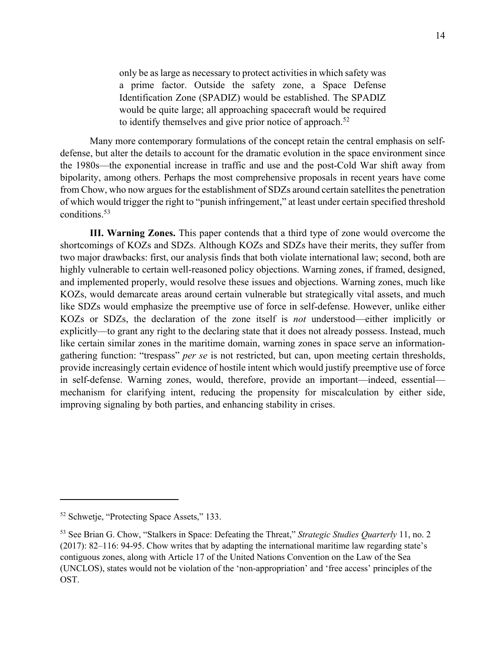only be as large as necessary to protect activities in which safety was a prime factor. Outside the safety zone, a Space Defense Identification Zone (SPADIZ) would be established. The SPADIZ would be quite large; all approaching spacecraft would be required to identify themselves and give prior notice of approach.<sup>52</sup>

Many more contemporary formulations of the concept retain the central emphasis on selfdefense, but alter the details to account for the dramatic evolution in the space environment since the 1980s—the exponential increase in traffic and use and the post-Cold War shift away from bipolarity, among others. Perhaps the most comprehensive proposals in recent years have come from Chow, who now argues for the establishment of SDZs around certain satellites the penetration of which would trigger the right to "punish infringement," at least under certain specified threshold conditions.53

**III. Warning Zones.** This paper contends that a third type of zone would overcome the shortcomings of KOZs and SDZs. Although KOZs and SDZs have their merits, they suffer from two major drawbacks: first, our analysis finds that both violate international law; second, both are highly vulnerable to certain well-reasoned policy objections. Warning zones, if framed, designed, and implemented properly, would resolve these issues and objections. Warning zones, much like KOZs, would demarcate areas around certain vulnerable but strategically vital assets, and much like SDZs would emphasize the preemptive use of force in self-defense. However, unlike either KOZs or SDZs, the declaration of the zone itself is *not* understood—either implicitly or explicitly—to grant any right to the declaring state that it does not already possess. Instead, much like certain similar zones in the maritime domain, warning zones in space serve an informationgathering function: "trespass" *per se* is not restricted, but can, upon meeting certain thresholds, provide increasingly certain evidence of hostile intent which would justify preemptive use of force in self-defense. Warning zones, would, therefore, provide an important—indeed, essential mechanism for clarifying intent, reducing the propensity for miscalculation by either side, improving signaling by both parties, and enhancing stability in crises.

<sup>&</sup>lt;sup>52</sup> Schwetje, "Protecting Space Assets," 133.

<sup>53</sup> See Brian G. Chow, "Stalkers in Space: Defeating the Threat," *Strategic Studies Quarterly* 11, no. 2 (2017): 82–116: 94-95. Chow writes that by adapting the international maritime law regarding state's contiguous zones, along with Article 17 of the United Nations Convention on the Law of the Sea (UNCLOS), states would not be violation of the 'non-appropriation' and 'free access' principles of the OST.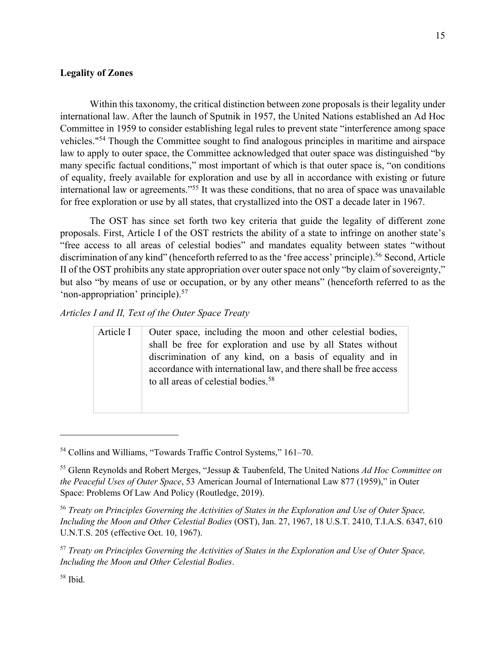## **Legality of Zones**

Within this taxonomy, the critical distinction between zone proposals is their legality under international law. After the launch of Sputnik in 1957, the United Nations established an Ad Hoc Committee in 1959 to consider establishing legal rules to prevent state "interference among space vehicles."54 Though the Committee sought to find analogous principles in maritime and airspace law to apply to outer space, the Committee acknowledged that outer space was distinguished "by many specific factual conditions," most important of which is that outer space is, "on conditions of equality, freely available for exploration and use by all in accordance with existing or future international law or agreements."55 It was these conditions, that no area of space was unavailable for free exploration or use by all states, that crystallized into the OST a decade later in 1967.

The OST has since set forth two key criteria that guide the legality of different zone proposals. First, Article I of the OST restricts the ability of a state to infringe on another state's "free access to all areas of celestial bodies" and mandates equality between states "without discrimination of any kind" (henceforth referred to as the 'free access' principle).<sup>56</sup> Second, Article II of the OST prohibits any state appropriation over outer space not only "by claim of sovereignty," but also "by means of use or occupation, or by any other means" (henceforth referred to as the 'non-appropriation' principle).57

*Articles I and II, Text of the Outer Space Treaty*

Article I | Outer space, including the moon and other celestial bodies, shall be free for exploration and use by all States without discrimination of any kind, on a basis of equality and in accordance with international law, and there shall be free access to all areas of celestial bodies.<sup>58</sup>

<sup>58</sup> Ibid.

<sup>54</sup> Collins and Williams, "Towards Traffic Control Systems," 161–70.

<sup>55</sup> Glenn Reynolds and Robert Merges, "Jessup & Taubenfeld, The United Nations *Ad Hoc Committee on the Peaceful Uses of Outer Space*, 53 American Journal of International Law 877 (1959)," in Outer Space: Problems Of Law And Policy (Routledge, 2019).

<sup>56</sup> *Treaty on Principles Governing the Activities of States in the Exploration and Use of Outer Space, Including the Moon and Other Celestial Bodies* (OST), Jan. 27, 1967, 18 U.S.T. 2410, T.I.A.S. 6347, 610 U.N.T.S. 205 (effective Oct. 10, 1967).

<sup>57</sup> *Treaty on Principles Governing the Activities of States in the Exploration and Use of Outer Space, Including the Moon and Other Celestial Bodies*.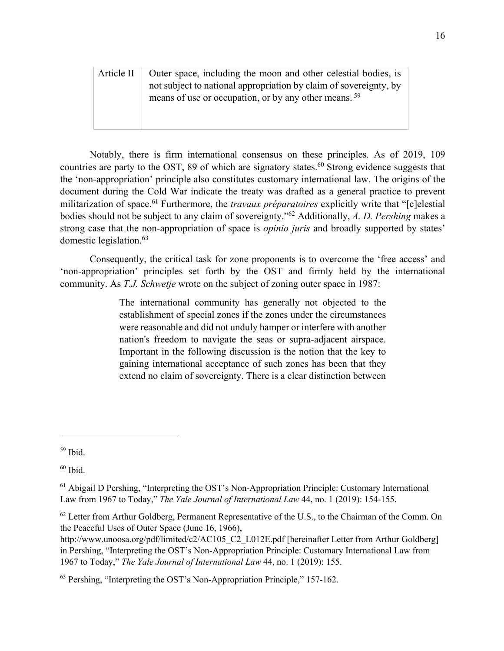| Article II | Outer space, including the moon and other celestial bodies, is    |
|------------|-------------------------------------------------------------------|
|            | not subject to national appropriation by claim of sovereignty, by |
|            | means of use or occupation, or by any other means. <sup>59</sup>  |
|            |                                                                   |

Notably, there is firm international consensus on these principles. As of 2019, 109 countries are party to the OST, 89 of which are signatory states. <sup>60</sup> Strong evidence suggests that the 'non-appropriation' principle also constitutes customary international law. The origins of the document during the Cold War indicate the treaty was drafted as a general practice to prevent militarization of space.61 Furthermore, the *travaux préparatoires* explicitly write that "[c]elestial bodies should not be subject to any claim of sovereignty."62 Additionally, *A. D. Pershing* makes a strong case that the non-appropriation of space is *opinio juris* and broadly supported by states' domestic legislation.<sup>63</sup>

Consequently, the critical task for zone proponents is to overcome the 'free access' and 'non-appropriation' principles set forth by the OST and firmly held by the international community. As *T.J. Schwetje* wrote on the subject of zoning outer space in 1987:

> The international community has generally not objected to the establishment of special zones if the zones under the circumstances were reasonable and did not unduly hamper or interfere with another nation's freedom to navigate the seas or supra-adjacent airspace. Important in the following discussion is the notion that the key to gaining international acceptance of such zones has been that they extend no claim of sovereignty. There is a clear distinction between

<sup>59</sup> Ibid.

 $60$  Ibid.

 $<sup>61</sup>$  Abigail D Pershing, "Interpreting the OST's Non-Appropriation Principle: Customary International</sup> Law from 1967 to Today," *The Yale Journal of International Law* 44, no. 1 (2019): 154-155.

 $62$  Letter from Arthur Goldberg, Permanent Representative of the U.S., to the Chairman of the Comm. On the Peaceful Uses of Outer Space (June 16, 1966),

http://www.unoosa.org/pdf/limited/c2/AC105\_C2\_L012E.pdf [hereinafter Letter from Arthur Goldberg] in Pershing, "Interpreting the OST's Non-Appropriation Principle: Customary International Law from 1967 to Today," *The Yale Journal of International Law* 44, no. 1 (2019): 155.

<sup>63</sup> Pershing, "Interpreting the OST's Non-Appropriation Principle," 157-162.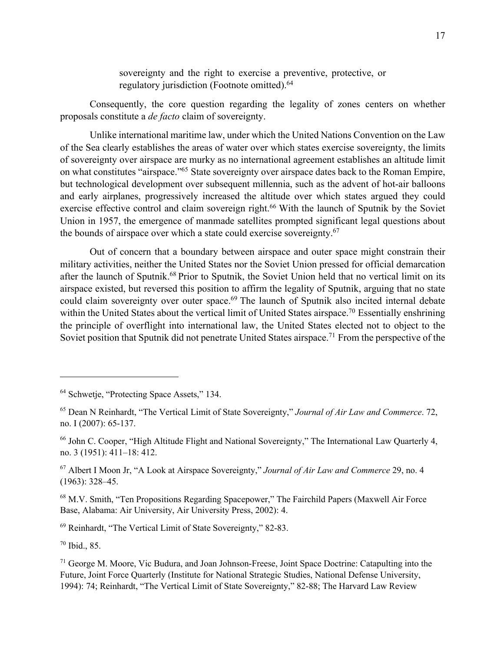sovereignty and the right to exercise a preventive, protective, or regulatory jurisdiction (Footnote omitted).<sup>64</sup>

Consequently, the core question regarding the legality of zones centers on whether proposals constitute a *de facto* claim of sovereignty.

Unlike international maritime law, under which the United Nations Convention on the Law of the Sea clearly establishes the areas of water over which states exercise sovereignty, the limits of sovereignty over airspace are murky as no international agreement establishes an altitude limit on what constitutes "airspace."65 State sovereignty over airspace dates back to the Roman Empire, but technological development over subsequent millennia, such as the advent of hot-air balloons and early airplanes, progressively increased the altitude over which states argued they could exercise effective control and claim sovereign right.<sup>66</sup> With the launch of Sputnik by the Soviet Union in 1957, the emergence of manmade satellites prompted significant legal questions about the bounds of airspace over which a state could exercise sovereignty.<sup>67</sup>

Out of concern that a boundary between airspace and outer space might constrain their military activities, neither the United States nor the Soviet Union pressed for official demarcation after the launch of Sputnik.<sup>68</sup> Prior to Sputnik, the Soviet Union held that no vertical limit on its airspace existed, but reversed this position to affirm the legality of Sputnik, arguing that no state could claim sovereignty over outer space.<sup>69</sup> The launch of Sputnik also incited internal debate within the United States about the vertical limit of United States airspace.<sup>70</sup> Essentially enshrining the principle of overflight into international law, the United States elected not to object to the Soviet position that Sputnik did not penetrate United States airspace.<sup>71</sup> From the perspective of the

<sup>66</sup> John C. Cooper, "High Altitude Flight and National Sovereignty," The International Law Quarterly 4, no. 3 (1951): 411–18: 412.

<sup>67</sup> Albert I Moon Jr, "A Look at Airspace Sovereignty," *Journal of Air Law and Commerce* 29, no. 4 (1963): 328–45.

<sup>68</sup> M.V. Smith, "Ten Propositions Regarding Spacepower," The Fairchild Papers (Maxwell Air Force Base, Alabama: Air University, Air University Press, 2002): 4.

<sup>69</sup> Reinhardt, "The Vertical Limit of State Sovereignty," 82-83.

<sup>70</sup> Ibid., 85.

 $71$  George M. Moore, Vic Budura, and Joan Johnson-Freese, Joint Space Doctrine: Catapulting into the Future, Joint Force Quarterly (Institute for National Strategic Studies, National Defense University, 1994): 74; Reinhardt, "The Vertical Limit of State Sovereignty," 82-88; The Harvard Law Review

<sup>&</sup>lt;sup>64</sup> Schwetje, "Protecting Space Assets," 134.

<sup>65</sup> Dean N Reinhardt, "The Vertical Limit of State Sovereignty," *Journal of Air Law and Commerce*. 72, no. I (2007): 65-137.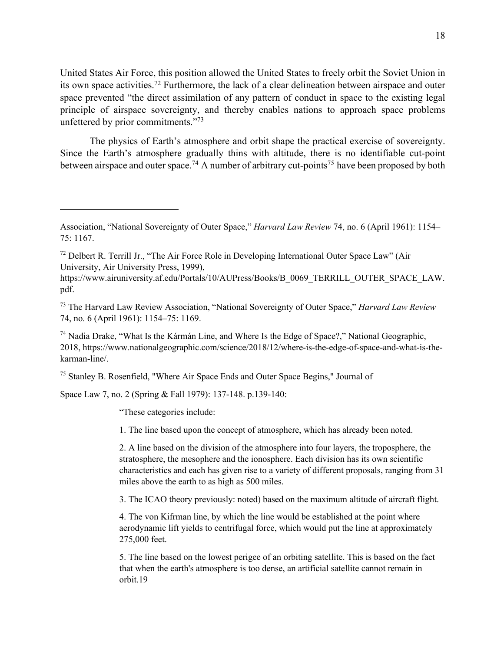United States Air Force, this position allowed the United States to freely orbit the Soviet Union in its own space activities.<sup>72</sup> Furthermore, the lack of a clear delineation between airspace and outer space prevented "the direct assimilation of any pattern of conduct in space to the existing legal principle of airspace sovereignty, and thereby enables nations to approach space problems unfettered by prior commitments."73

The physics of Earth's atmosphere and orbit shape the practical exercise of sovereignty. Since the Earth's atmosphere gradually thins with altitude, there is no identifiable cut-point between airspace and outer space.<sup>74</sup> A number of arbitrary cut-points<sup>75</sup> have been proposed by both

<sup>75</sup> Stanley B. Rosenfield, "Where Air Space Ends and Outer Space Begins," Journal of

Space Law 7, no. 2 (Spring & Fall 1979): 137-148. p.139-140:

"These categories include:

1. The line based upon the concept of atmosphere, which has already been noted.

2. A line based on the division of the atmosphere into four layers, the troposphere, the stratosphere, the mesophere and the ionosphere. Each division has its own scientific characteristics and each has given rise to a variety of different proposals, ranging from 31 miles above the earth to as high as 500 miles.

3. The ICAO theory previously: noted) based on the maximum altitude of aircraft flight.

4. The von Kifrman line, by which the line would be established at the point where aerodynamic lift yields to centrifugal force, which would put the line at approximately 275,000 feet.

5. The line based on the lowest perigee of an orbiting satellite. This is based on the fact that when the earth's atmosphere is too dense, an artificial satellite cannot remain in orbit.19

Association, "National Sovereignty of Outer Space," *Harvard Law Review* 74, no. 6 (April 1961): 1154– 75: 1167.

 $72$  Delbert R. Terrill Jr., "The Air Force Role in Developing International Outer Space Law" (Air University, Air University Press, 1999),

https://www.airuniversity.af.edu/Portals/10/AUPress/Books/B\_0069\_TERRILL\_OUTER\_SPACE\_LAW. pdf.

<sup>73</sup> The Harvard Law Review Association, "National Sovereignty of Outer Space," *Harvard Law Review* 74, no. 6 (April 1961): 1154–75: 1169.

<sup>&</sup>lt;sup>74</sup> Nadia Drake, "What Is the Kármán Line, and Where Is the Edge of Space?," National Geographic, 2018, https://www.nationalgeographic.com/science/2018/12/where-is-the-edge-of-space-and-what-is-thekarman-line/.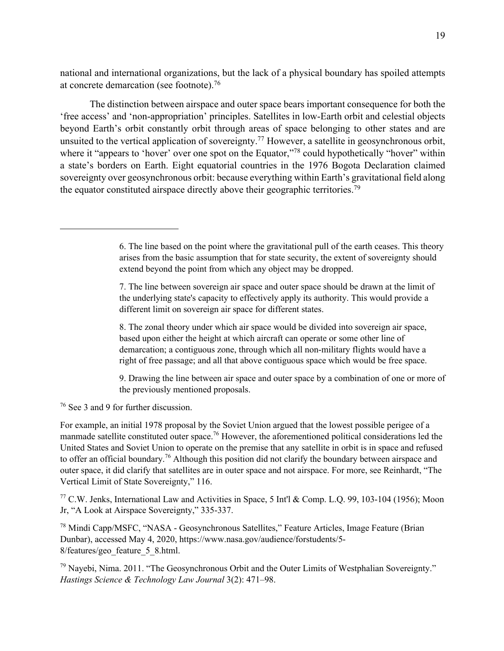national and international organizations, but the lack of a physical boundary has spoiled attempts at concrete demarcation (see footnote).76

The distinction between airspace and outer space bears important consequence for both the 'free access' and 'non-appropriation' principles. Satellites in low-Earth orbit and celestial objects beyond Earth's orbit constantly orbit through areas of space belonging to other states and are unsuited to the vertical application of sovereignty.<sup>77</sup> However, a satellite in geosynchronous orbit, where it "appears to 'hover' over one spot on the Equator,"<sup>78</sup> could hypothetically "hover" within a state's borders on Earth. Eight equatorial countries in the 1976 Bogota Declaration claimed sovereignty over geosynchronous orbit: because everything within Earth's gravitational field along the equator constituted airspace directly above their geographic territories.<sup>79</sup>

8. The zonal theory under which air space would be divided into sovereign air space, based upon either the height at which aircraft can operate or some other line of demarcation; a contiguous zone, through which all non-military flights would have a right of free passage; and all that above contiguous space which would be free space.

9. Drawing the line between air space and outer space by a combination of one or more of the previously mentioned proposals.

<sup>76</sup> See 3 and 9 for further discussion.

For example, an initial 1978 proposal by the Soviet Union argued that the lowest possible perigee of a manmade satellite constituted outer space.<sup>76</sup> However, the aforementioned political considerations led the United States and Soviet Union to operate on the premise that any satellite in orbit is in space and refused to offer an official boundary.<sup>76</sup> Although this position did not clarify the boundary between airspace and outer space, it did clarify that satellites are in outer space and not airspace. For more, see Reinhardt, "The Vertical Limit of State Sovereignty," 116.

<sup>77</sup> C.W. Jenks, International Law and Activities in Space, 5 Int'l & Comp. L.Q. 99, 103-104 (1956); Moon Jr, "A Look at Airspace Sovereignty," 335-337.

<sup>78</sup> Mindi Capp/MSFC, "NASA - Geosynchronous Satellites," Feature Articles, Image Feature (Brian Dunbar), accessed May 4, 2020, https://www.nasa.gov/audience/forstudents/5- 8/features/geo\_feature\_5\_8.html.

<sup>79</sup> Navebi, Nima. 2011. "The Geosynchronous Orbit and the Outer Limits of Westphalian Sovereignty." *Hastings Science & Technology Law Journal* 3(2): 471–98.

<sup>6.</sup> The line based on the point where the gravitational pull of the earth ceases. This theory arises from the basic assumption that for state security, the extent of sovereignty should extend beyond the point from which any object may be dropped.

<sup>7.</sup> The line between sovereign air space and outer space should be drawn at the limit of the underlying state's capacity to effectively apply its authority. This would provide a different limit on sovereign air space for different states.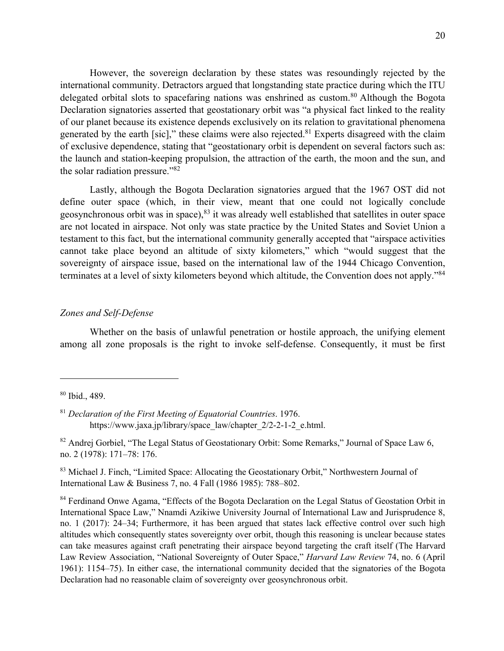However, the sovereign declaration by these states was resoundingly rejected by the international community. Detractors argued that longstanding state practice during which the ITU delegated orbital slots to spacefaring nations was enshrined as custom.<sup>80</sup> Although the Bogota Declaration signatories asserted that geostationary orbit was "a physical fact linked to the reality of our planet because its existence depends exclusively on its relation to gravitational phenomena generated by the earth [sic]," these claims were also rejected.<sup>81</sup> Experts disagreed with the claim of exclusive dependence, stating that "geostationary orbit is dependent on several factors such as: the launch and station-keeping propulsion, the attraction of the earth, the moon and the sun, and the solar radiation pressure."82

Lastly, although the Bogota Declaration signatories argued that the 1967 OST did not define outer space (which, in their view, meant that one could not logically conclude geosynchronous orbit was in space),  $83$  it was already well established that satellites in outer space are not located in airspace. Not only was state practice by the United States and Soviet Union a testament to this fact, but the international community generally accepted that "airspace activities cannot take place beyond an altitude of sixty kilometers," which "would suggest that the sovereignty of airspace issue, based on the international law of the 1944 Chicago Convention, terminates at a level of sixty kilometers beyond which altitude, the Convention does not apply."84

### *Zones and Self-Defense*

Whether on the basis of unlawful penetration or hostile approach, the unifying element among all zone proposals is the right to invoke self-defense. Consequently, it must be first

<sup>80</sup> Ibid., 489.

<sup>81</sup> *Declaration of the First Meeting of Equatorial Countries*. 1976. https://www.jaxa.jp/library/space\_law/chapter\_2/2-2-1-2\_e.html.

<sup>&</sup>lt;sup>82</sup> Andrej Gorbiel, "The Legal Status of Geostationary Orbit: Some Remarks," Journal of Space Law 6, no. 2 (1978): 171–78: 176.

<sup>&</sup>lt;sup>83</sup> Michael J. Finch, "Limited Space: Allocating the Geostationary Orbit," Northwestern Journal of International Law & Business 7, no. 4 Fall (1986 1985): 788–802.

<sup>&</sup>lt;sup>84</sup> Ferdinand Onwe Agama, "Effects of the Bogota Declaration on the Legal Status of Geostation Orbit in International Space Law," Nnamdi Azikiwe University Journal of International Law and Jurisprudence 8, no. 1 (2017): 24–34; Furthermore, it has been argued that states lack effective control over such high altitudes which consequently states sovereignty over orbit, though this reasoning is unclear because states can take measures against craft penetrating their airspace beyond targeting the craft itself (The Harvard Law Review Association, "National Sovereignty of Outer Space," *Harvard Law Review* 74, no. 6 (April 1961): 1154–75). In either case, the international community decided that the signatories of the Bogota Declaration had no reasonable claim of sovereignty over geosynchronous orbit.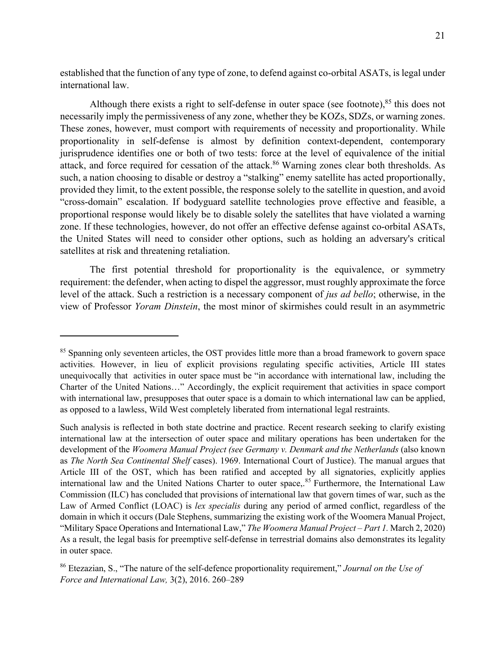established that the function of any type of zone, to defend against co-orbital ASATs, is legal under international law.

Although there exists a right to self-defense in outer space (see footnote), $85$  this does not necessarily imply the permissiveness of any zone, whether they be KOZs, SDZs, or warning zones. These zones, however, must comport with requirements of necessity and proportionality. While proportionality in self-defense is almost by definition context-dependent, contemporary jurisprudence identifies one or both of two tests: force at the level of equivalence of the initial attack, and force required for cessation of the attack.<sup>86</sup> Warning zones clear both thresholds. As such, a nation choosing to disable or destroy a "stalking" enemy satellite has acted proportionally, provided they limit, to the extent possible, the response solely to the satellite in question, and avoid "cross-domain" escalation. If bodyguard satellite technologies prove effective and feasible, a proportional response would likely be to disable solely the satellites that have violated a warning zone. If these technologies, however, do not offer an effective defense against co-orbital ASATs, the United States will need to consider other options, such as holding an adversary's critical satellites at risk and threatening retaliation.

The first potential threshold for proportionality is the equivalence, or symmetry requirement: the defender, when acting to dispel the aggressor, must roughly approximate the force level of the attack. Such a restriction is a necessary component of *jus ad bello*; otherwise, in the view of Professor *Yoram Dinstein*, the most minor of skirmishes could result in an asymmetric

<sup>&</sup>lt;sup>85</sup> Spanning only seventeen articles, the OST provides little more than a broad framework to govern space activities. However, in lieu of explicit provisions regulating specific activities, Article III states unequivocally that activities in outer space must be "in accordance with international law, including the Charter of the United Nations…" Accordingly, the explicit requirement that activities in space comport with international law, presupposes that outer space is a domain to which international law can be applied, as opposed to a lawless, Wild West completely liberated from international legal restraints.

Such analysis is reflected in both state doctrine and practice. Recent research seeking to clarify existing international law at the intersection of outer space and military operations has been undertaken for the development of the *Woomera Manual Project (see Germany v. Denmark and the Netherlands* (also known as *The North Sea Continental Shelf* cases). 1969. International Court of Justice). The manual argues that Article III of the OST, which has been ratified and accepted by all signatories, explicitly applies international law and the United Nations Charter to outer space,.<sup>85</sup> Furthermore, the International Law Commission (ILC) has concluded that provisions of international law that govern times of war, such as the Law of Armed Conflict (LOAC) is *lex specialis* during any period of armed conflict, regardless of the domain in which it occurs (Dale Stephens, summarizing the existing work of the Woomera Manual Project, "Military Space Operations and International Law," *The Woomera Manual Project – Part 1.* March 2, 2020) As a result, the legal basis for preemptive self-defense in terrestrial domains also demonstrates its legality in outer space.

<sup>86</sup> Etezazian, S., "The nature of the self-defence proportionality requirement," *Journal on the Use of Force and International Law,* 3(2), 2016. 260–289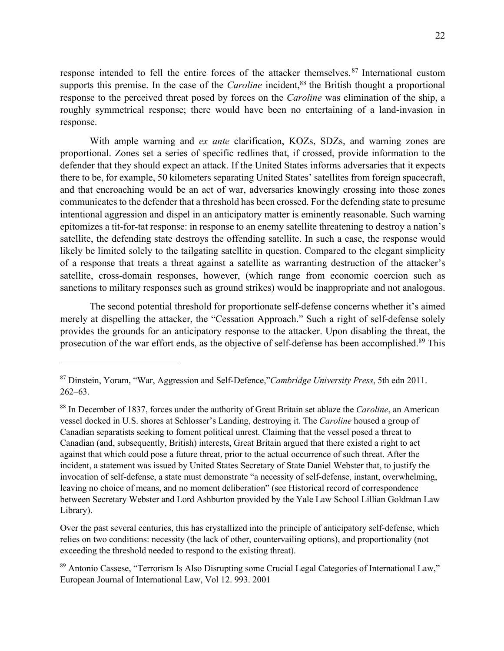response intended to fell the entire forces of the attacker themselves. <sup>87</sup> International custom supports this premise. In the case of the *Caroline* incident,<sup>88</sup> the British thought a proportional response to the perceived threat posed by forces on the *Caroline* was elimination of the ship, a roughly symmetrical response; there would have been no entertaining of a land-invasion in response.

With ample warning and *ex ante* clarification, KOZs, SDZs, and warning zones are proportional. Zones set a series of specific redlines that, if crossed, provide information to the defender that they should expect an attack. If the United States informs adversaries that it expects there to be, for example, 50 kilometers separating United States' satellites from foreign spacecraft, and that encroaching would be an act of war, adversaries knowingly crossing into those zones communicates to the defender that a threshold has been crossed. For the defending state to presume intentional aggression and dispel in an anticipatory matter is eminently reasonable. Such warning epitomizes a tit-for-tat response: in response to an enemy satellite threatening to destroy a nation's satellite, the defending state destroys the offending satellite. In such a case, the response would likely be limited solely to the tailgating satellite in question. Compared to the elegant simplicity of a response that treats a threat against a satellite as warranting destruction of the attacker's satellite, cross-domain responses, however, (which range from economic coercion such as sanctions to military responses such as ground strikes) would be inappropriate and not analogous.

The second potential threshold for proportionate self-defense concerns whether it's aimed merely at dispelling the attacker, the "Cessation Approach." Such a right of self-defense solely provides the grounds for an anticipatory response to the attacker. Upon disabling the threat, the prosecution of the war effort ends, as the objective of self-defense has been accomplished.<sup>89</sup> This

Over the past several centuries, this has crystallized into the principle of anticipatory self-defense, which relies on two conditions: necessity (the lack of other, countervailing options), and proportionality (not exceeding the threshold needed to respond to the existing threat).

<sup>87</sup> Dinstein, Yoram, "War, Aggression and Self-Defence,"*Cambridge University Press*, 5th edn 2011. 262–63.

<sup>88</sup> In December of 1837, forces under the authority of Great Britain set ablaze the *Caroline*, an American vessel docked in U.S. shores at Schlosser's Landing, destroying it. The *Caroline* housed a group of Canadian separatists seeking to foment political unrest. Claiming that the vessel posed a threat to Canadian (and, subsequently, British) interests, Great Britain argued that there existed a right to act against that which could pose a future threat, prior to the actual occurrence of such threat. After the incident, a statement was issued by United States Secretary of State Daniel Webster that, to justify the invocation of self-defense, a state must demonstrate "a necessity of self-defense, instant, overwhelming, leaving no choice of means, and no moment deliberation" (see Historical record of correspondence between Secretary Webster and Lord Ashburton provided by the Yale Law School Lillian Goldman Law Library).

<sup>89</sup> Antonio Cassese, "Terrorism Is Also Disrupting some Crucial Legal Categories of International Law," European Journal of International Law, Vol 12. 993. 2001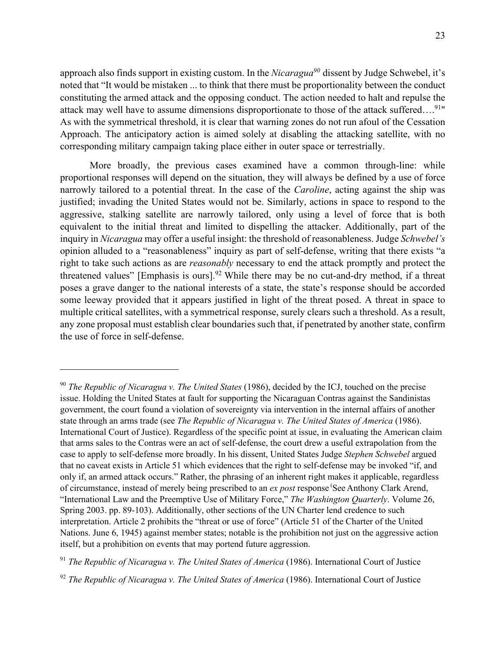approach also finds support in existing custom. In the *Nicaragua90* dissent by Judge Schwebel, it's noted that "It would be mistaken ... to think that there must be proportionality between the conduct constituting the armed attack and the opposing conduct. The action needed to halt and repulse the attack may well have to assume dimensions disproportionate to those of the attack suffered….91" As with the symmetrical threshold, it is clear that warning zones do not run afoul of the Cessation Approach. The anticipatory action is aimed solely at disabling the attacking satellite, with no corresponding military campaign taking place either in outer space or terrestrially.

More broadly, the previous cases examined have a common through-line: while proportional responses will depend on the situation, they will always be defined by a use of force narrowly tailored to a potential threat. In the case of the *Caroline*, acting against the ship was justified; invading the United States would not be. Similarly, actions in space to respond to the aggressive, stalking satellite are narrowly tailored, only using a level of force that is both equivalent to the initial threat and limited to dispelling the attacker. Additionally, part of the inquiry in *Nicaragua* may offer a useful insight: the threshold of reasonableness. Judge *Schwebel's* opinion alluded to a "reasonableness" inquiry as part of self-defense, writing that there exists "a right to take such actions as are *reasonably* necessary to end the attack promptly and protect the threatened values" [Emphasis is ours].<sup>92</sup> While there may be no cut-and-dry method, if a threat poses a grave danger to the national interests of a state, the state's response should be accorded some leeway provided that it appears justified in light of the threat posed. A threat in space to multiple critical satellites, with a symmetrical response, surely clears such a threshold. As a result, any zone proposal must establish clear boundaries such that, if penetrated by another state, confirm the use of force in self-defense.

<sup>90</sup> *The Republic of Nicaragua v. The United States* (1986), decided by the ICJ, touched on the precise issue. Holding the United States at fault for supporting the Nicaraguan Contras against the Sandinistas government, the court found a violation of sovereignty via intervention in the internal affairs of another state through an arms trade (see *The Republic of Nicaragua v. The United States of America* (1986). International Court of Justice). Regardless of the specific point at issue, in evaluating the American claim that arms sales to the Contras were an act of self-defense, the court drew a useful extrapolation from the case to apply to self-defense more broadly. In his dissent, United States Judge *Stephen Schwebel* argued that no caveat exists in Article 51 which evidences that the right to self-defense may be invoked "if, and only if, an armed attack occurs." Rather, the phrasing of an inherent right makes it applicable, regardless of circumstance, instead of merely being prescribed to an *ex post* response ( See Anthony Clark Arend, "International Law and the Preemptive Use of Military Force," *The Washington Quarterly*. Volume 26, Spring 2003. pp. 89-103). Additionally, other sections of the UN Charter lend credence to such interpretation. Article 2 prohibits the "threat or use of force" (Article 51 of the Charter of the United Nations. June 6, 1945) against member states; notable is the prohibition not just on the aggressive action itself, but a prohibition on events that may portend future aggression.

<sup>&</sup>lt;sup>91</sup> *The Republic of Nicaragua v. The United States of America* (1986). International Court of Justice

<sup>&</sup>lt;sup>92</sup> *The Republic of Nicaragua v. The United States of America* (1986). International Court of Justice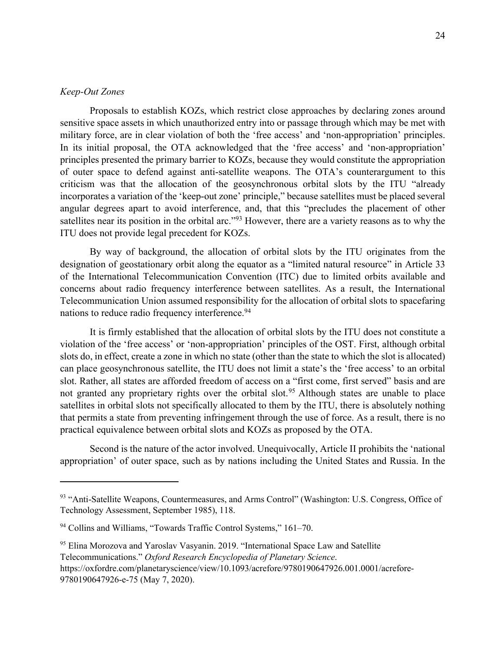#### *Keep-Out Zones*

Proposals to establish KOZs, which restrict close approaches by declaring zones around sensitive space assets in which unauthorized entry into or passage through which may be met with military force, are in clear violation of both the 'free access' and 'non-appropriation' principles. In its initial proposal, the OTA acknowledged that the 'free access' and 'non-appropriation' principles presented the primary barrier to KOZs, because they would constitute the appropriation of outer space to defend against anti-satellite weapons. The OTA's counterargument to this criticism was that the allocation of the geosynchronous orbital slots by the ITU "already incorporates a variation of the 'keep-out zone' principle," because satellites must be placed several angular degrees apart to avoid interference, and, that this "precludes the placement of other satellites near its position in the orbital arc."<sup>93</sup> However, there are a variety reasons as to why the ITU does not provide legal precedent for KOZs.

By way of background, the allocation of orbital slots by the ITU originates from the designation of geostationary orbit along the equator as a "limited natural resource" in Article 33 of the International Telecommunication Convention (ITC) due to limited orbits available and concerns about radio frequency interference between satellites. As a result, the International Telecommunication Union assumed responsibility for the allocation of orbital slots to spacefaring nations to reduce radio frequency interference.<sup>94</sup>

It is firmly established that the allocation of orbital slots by the ITU does not constitute a violation of the 'free access' or 'non-appropriation' principles of the OST. First, although orbital slots do, in effect, create a zone in which no state (other than the state to which the slot is allocated) can place geosynchronous satellite, the ITU does not limit a state's the 'free access' to an orbital slot. Rather, all states are afforded freedom of access on a "first come, first served" basis and are not granted any proprietary rights over the orbital slot.<sup>95</sup> Although states are unable to place satellites in orbital slots not specifically allocated to them by the ITU, there is absolutely nothing that permits a state from preventing infringement through the use of force. As a result, there is no practical equivalence between orbital slots and KOZs as proposed by the OTA.

Second is the nature of the actor involved. Unequivocally, Article II prohibits the 'national appropriation' of outer space, such as by nations including the United States and Russia. In the

<sup>93 &</sup>quot;Anti-Satellite Weapons, Countermeasures, and Arms Control" (Washington: U.S. Congress, Office of Technology Assessment, September 1985), 118.

<sup>&</sup>lt;sup>94</sup> Collins and Williams, "Towards Traffic Control Systems," 161-70.

<sup>&</sup>lt;sup>95</sup> Elina Morozova and Yaroslav Vasyanin. 2019. "International Space Law and Satellite Telecommunications." *Oxford Research Encyclopedia of Planetary Science*. https://oxfordre.com/planetaryscience/view/10.1093/acrefore/9780190647926.001.0001/acrefore-9780190647926-e-75 (May 7, 2020).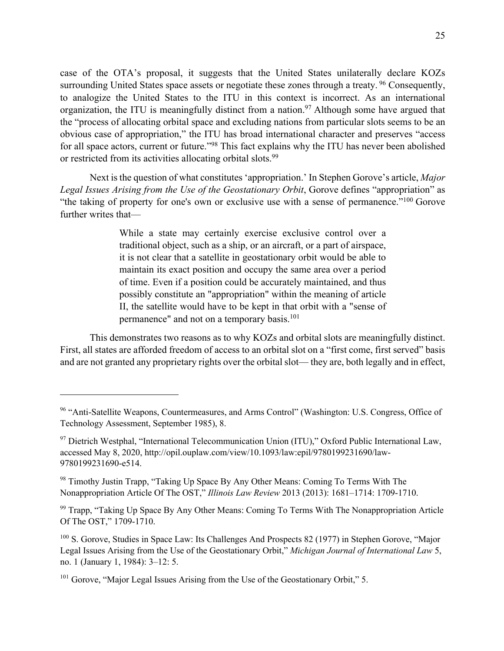case of the OTA's proposal, it suggests that the United States unilaterally declare KOZs surrounding United States space assets or negotiate these zones through a treaty. <sup>96</sup> Consequently, to analogize the United States to the ITU in this context is incorrect. As an international organization, the ITU is meaningfully distinct from a nation.<sup>97</sup> Although some have argued that the "process of allocating orbital space and excluding nations from particular slots seems to be an obvious case of appropriation," the ITU has broad international character and preserves "access for all space actors, current or future."98 This fact explains why the ITU has never been abolished or restricted from its activities allocating orbital slots.<sup>99</sup>

Next is the question of what constitutes 'appropriation.' In Stephen Gorove's article, *Major Legal Issues Arising from the Use of the Geostationary Orbit*, Gorove defines "appropriation" as "the taking of property for one's own or exclusive use with a sense of permanence."100 Gorove further writes that—

> While a state may certainly exercise exclusive control over a traditional object, such as a ship, or an aircraft, or a part of airspace, it is not clear that a satellite in geostationary orbit would be able to maintain its exact position and occupy the same area over a period of time. Even if a position could be accurately maintained, and thus possibly constitute an "appropriation" within the meaning of article II, the satellite would have to be kept in that orbit with a "sense of permanence" and not on a temporary basis.<sup>101</sup>

This demonstrates two reasons as to why KOZs and orbital slots are meaningfully distinct. First, all states are afforded freedom of access to an orbital slot on a "first come, first served" basis and are not granted any proprietary rights over the orbital slot— they are, both legally and in effect,

<sup>&</sup>lt;sup>96</sup> "Anti-Satellite Weapons, Countermeasures, and Arms Control" (Washington: U.S. Congress, Office of Technology Assessment, September 1985), 8.

<sup>97</sup> Dietrich Westphal, "International Telecommunication Union (ITU)," Oxford Public International Law, accessed May 8, 2020, http://opil.ouplaw.com/view/10.1093/law:epil/9780199231690/law-9780199231690-e514.

<sup>&</sup>lt;sup>98</sup> Timothy Justin Trapp, "Taking Up Space By Any Other Means: Coming To Terms With The Nonappropriation Article Of The OST," *Illinois Law Review* 2013 (2013): 1681–1714: 1709-1710.

<sup>&</sup>lt;sup>99</sup> Trapp, "Taking Up Space By Any Other Means: Coming To Terms With The Nonappropriation Article Of The OST," 1709-1710.

<sup>&</sup>lt;sup>100</sup> S. Gorove, Studies in Space Law: Its Challenges And Prospects 82 (1977) in Stephen Gorove, "Major Legal Issues Arising from the Use of the Geostationary Orbit," *Michigan Journal of International Law* 5, no. 1 (January 1, 1984): 3–12: 5.

<sup>&</sup>lt;sup>101</sup> Gorove, "Major Legal Issues Arising from the Use of the Geostationary Orbit," 5.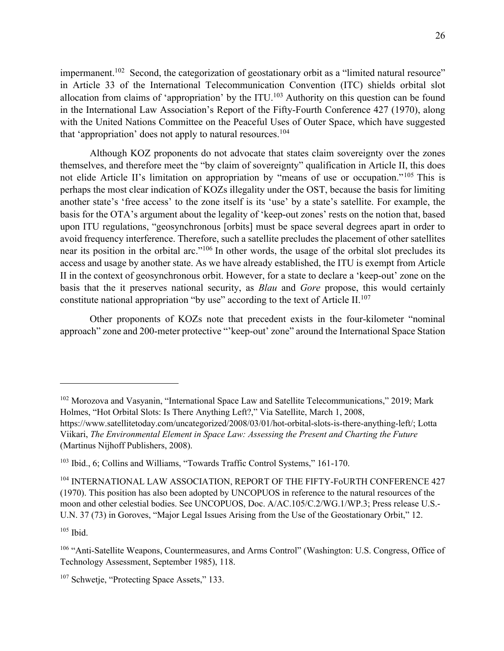impermanent.<sup>102</sup> Second, the categorization of geostationary orbit as a "limited natural resource" in Article 33 of the International Telecommunication Convention (ITC) shields orbital slot allocation from claims of 'appropriation' by the ITU.<sup>103</sup> Authority on this question can be found in the International Law Association's Report of the Fifty-Fourth Conference 427 (1970), along with the United Nations Committee on the Peaceful Uses of Outer Space, which have suggested that 'appropriation' does not apply to natural resources.<sup>104</sup>

Although KOZ proponents do not advocate that states claim sovereignty over the zones themselves, and therefore meet the "by claim of sovereignty" qualification in Article II, this does not elide Article II's limitation on appropriation by "means of use or occupation."<sup>105</sup> This is perhaps the most clear indication of KOZs illegality under the OST, because the basis for limiting another state's 'free access' to the zone itself is its 'use' by a state's satellite. For example, the basis for the OTA's argument about the legality of 'keep-out zones' rests on the notion that, based upon ITU regulations, "geosynchronous [orbits] must be space several degrees apart in order to avoid frequency interference. Therefore, such a satellite precludes the placement of other satellites near its position in the orbital arc."106 In other words, the usage of the orbital slot precludes its access and usage by another state. As we have already established, the ITU is exempt from Article II in the context of geosynchronous orbit. However, for a state to declare a 'keep-out' zone on the basis that the it preserves national security, as *Blau* and *Gore* propose, this would certainly constitute national appropriation "by use" according to the text of Article  $II$ .<sup>107</sup>

Other proponents of KOZs note that precedent exists in the four-kilometer "nominal approach" zone and 200-meter protective "'keep-out' zone" around the International Space Station

 $105$  Ibid.

<sup>&</sup>lt;sup>102</sup> Morozova and Vasyanin, "International Space Law and Satellite Telecommunications," 2019; Mark Holmes, "Hot Orbital Slots: Is There Anything Left?," Via Satellite, March 1, 2008,

https://www.satellitetoday.com/uncategorized/2008/03/01/hot-orbital-slots-is-there-anything-left/; Lotta Viikari, *The Environmental Element in Space Law: Assessing the Present and Charting the Future* (Martinus Nijhoff Publishers, 2008).

<sup>&</sup>lt;sup>103</sup> Ibid., 6; Collins and Williams, "Towards Traffic Control Systems," 161-170.

<sup>&</sup>lt;sup>104</sup> INTERNATIONAL LAW ASSOCIATION, REPORT OF THE FIFTY-F0URTH CONFERENCE 427 (1970). This position has also been adopted by UNCOPUOS in reference to the natural resources of the moon and other celestial bodies. See UNCOPUOS, Doc. A/AC.105/C.2/WG.1/WP.3; Press release U.S.- U.N. 37 (73) in Goroves, "Major Legal Issues Arising from the Use of the Geostationary Orbit," 12.

<sup>&</sup>lt;sup>106</sup> "Anti-Satellite Weapons, Countermeasures, and Arms Control" (Washington: U.S. Congress, Office of Technology Assessment, September 1985), 118.

<sup>&</sup>lt;sup>107</sup> Schwetje, "Protecting Space Assets," 133.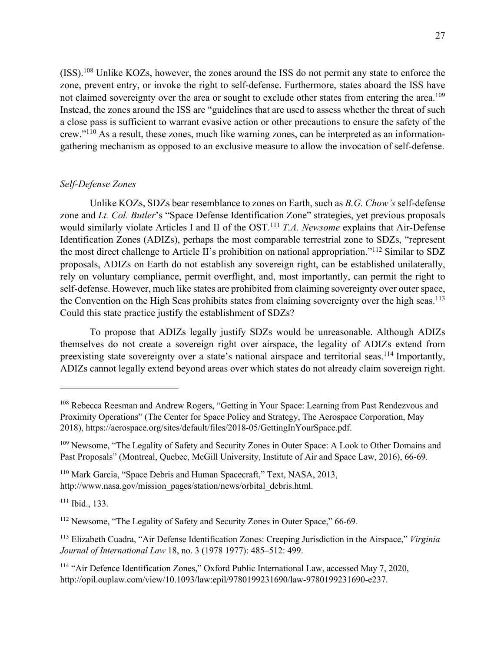(ISS).108 Unlike KOZs, however, the zones around the ISS do not permit any state to enforce the zone, prevent entry, or invoke the right to self-defense. Furthermore, states aboard the ISS have not claimed sovereignty over the area or sought to exclude other states from entering the area.<sup>109</sup> Instead, the zones around the ISS are "guidelines that are used to assess whether the threat of such a close pass is sufficient to warrant evasive action or other precautions to ensure the safety of the crew."110 As a result, these zones, much like warning zones, can be interpreted as an informationgathering mechanism as opposed to an exclusive measure to allow the invocation of self-defense.

## *Self-Defense Zones*

Unlike KOZs, SDZs bear resemblance to zones on Earth, such as *B.G. Chow's* self-defense zone and *Lt. Col. Butler*'s "Space Defense Identification Zone" strategies, yet previous proposals would similarly violate Articles I and II of the OST.111 *T.A. Newsome* explains that Air-Defense Identification Zones (ADIZs), perhaps the most comparable terrestrial zone to SDZs, "represent the most direct challenge to Article II's prohibition on national appropriation."112 Similar to SDZ proposals, ADIZs on Earth do not establish any sovereign right, can be established unilaterally, rely on voluntary compliance, permit overflight, and, most importantly, can permit the right to self-defense. However, much like states are prohibited from claiming sovereignty over outer space, the Convention on the High Seas prohibits states from claiming sovereignty over the high seas.<sup>113</sup> Could this state practice justify the establishment of SDZs?

To propose that ADIZs legally justify SDZs would be unreasonable. Although ADIZs themselves do not create a sovereign right over airspace, the legality of ADIZs extend from preexisting state sovereignty over a state's national airspace and territorial seas.<sup>114</sup> Importantly, ADIZs cannot legally extend beyond areas over which states do not already claim sovereign right.

 $111$  Ibid., 133.

<sup>&</sup>lt;sup>108</sup> Rebecca Reesman and Andrew Rogers, "Getting in Your Space: Learning from Past Rendezvous and Proximity Operations" (The Center for Space Policy and Strategy, The Aerospace Corporation, May 2018), https://aerospace.org/sites/default/files/2018-05/GettingInYourSpace.pdf.

<sup>&</sup>lt;sup>109</sup> Newsome, "The Legality of Safety and Security Zones in Outer Space: A Look to Other Domains and Past Proposals" (Montreal, Quebec, McGill University, Institute of Air and Space Law, 2016), 66-69.

<sup>&</sup>lt;sup>110</sup> Mark Garcia, "Space Debris and Human Spacecraft," Text, NASA, 2013, http://www.nasa.gov/mission\_pages/station/news/orbital\_debris.html.

<sup>&</sup>lt;sup>112</sup> Newsome, "The Legality of Safety and Security Zones in Outer Space," 66-69.

<sup>113</sup> Elizabeth Cuadra, "Air Defense Identification Zones: Creeping Jurisdiction in the Airspace," *Virginia Journal of International Law* 18, no. 3 (1978 1977): 485–512: 499.

<sup>&</sup>lt;sup>114</sup> "Air Defence Identification Zones," Oxford Public International Law, accessed May 7, 2020, http://opil.ouplaw.com/view/10.1093/law:epil/9780199231690/law-9780199231690-e237.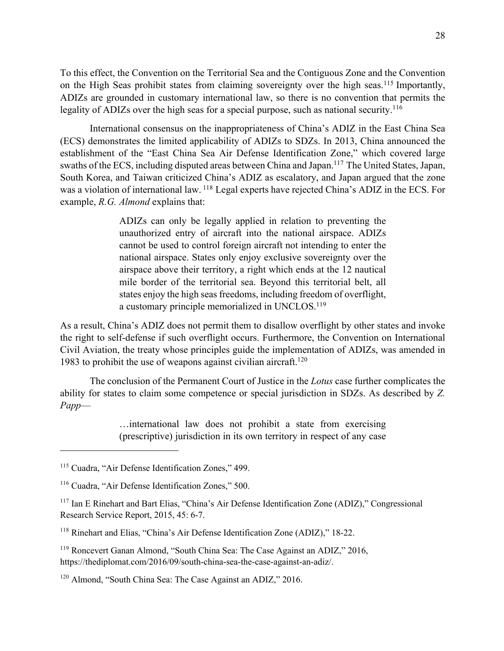To this effect, the Convention on the Territorial Sea and the Contiguous Zone and the Convention on the High Seas prohibit states from claiming sovereignty over the high seas.<sup>115</sup> Importantly, ADIZs are grounded in customary international law, so there is no convention that permits the legality of ADIZs over the high seas for a special purpose, such as national security.<sup>116</sup>

International consensus on the inappropriateness of China's ADIZ in the East China Sea (ECS) demonstrates the limited applicability of ADIZs to SDZs. In 2013, China announced the establishment of the "East China Sea Air Defense Identification Zone," which covered large swaths of the ECS, including disputed areas between China and Japan.<sup>117</sup> The United States, Japan, South Korea, and Taiwan criticized China's ADIZ as escalatory, and Japan argued that the zone was a violation of international law. <sup>118</sup> Legal experts have rejected China's ADIZ in the ECS. For example, *R.G. Almond* explains that:

> ADIZs can only be legally applied in relation to preventing the unauthorized entry of aircraft into the national airspace. ADIZs cannot be used to control foreign aircraft not intending to enter the national airspace. States only enjoy exclusive sovereignty over the airspace above their territory, a right which ends at the 12 nautical mile border of the territorial sea. Beyond this territorial belt, all states enjoy the high seas freedoms, including freedom of overflight, a customary principle memorialized in UNCLOS.<sup>119</sup>

As a result, China's ADIZ does not permit them to disallow overflight by other states and invoke the right to self-defense if such overflight occurs. Furthermore, the Convention on International Civil Aviation, the treaty whose principles guide the implementation of ADIZs, was amended in 1983 to prohibit the use of weapons against civilian aircraft.<sup>120</sup>

The conclusion of the Permanent Court of Justice in the *Lotus* case further complicates the ability for states to claim some competence or special jurisdiction in SDZs. As described by *Z. Papp*—

> …international law does not prohibit a state from exercising (prescriptive) jurisdiction in its own territory in respect of any case

<sup>&</sup>lt;sup>115</sup> Cuadra, "Air Defense Identification Zones," 499.

<sup>116</sup> Cuadra, "Air Defense Identification Zones," 500.

<sup>117</sup> Ian E Rinehart and Bart Elias, "China's Air Defense Identification Zone (ADIZ)," Congressional Research Service Report, 2015, 45: 6-7.

<sup>118</sup> Rinehart and Elias, "China's Air Defense Identification Zone (ADIZ)," 18-22.

<sup>&</sup>lt;sup>119</sup> Roncevert Ganan Almond, "South China Sea: The Case Against an ADIZ," 2016, https://thediplomat.com/2016/09/south-china-sea-the-case-against-an-adiz/.

<sup>&</sup>lt;sup>120</sup> Almond, "South China Sea: The Case Against an ADIZ," 2016.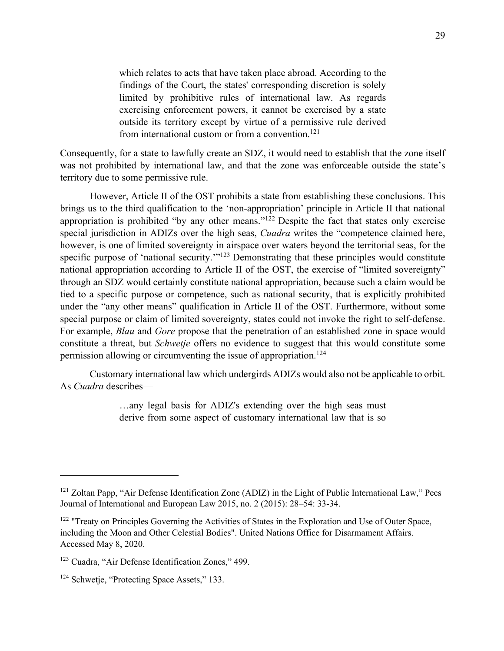which relates to acts that have taken place abroad. According to the findings of the Court, the states' corresponding discretion is solely limited by prohibitive rules of international law. As regards exercising enforcement powers, it cannot be exercised by a state outside its territory except by virtue of a permissive rule derived from international custom or from a convention.<sup>121</sup>

Consequently, for a state to lawfully create an SDZ, it would need to establish that the zone itself was not prohibited by international law, and that the zone was enforceable outside the state's territory due to some permissive rule.

However, Article II of the OST prohibits a state from establishing these conclusions. This brings us to the third qualification to the 'non-appropriation' principle in Article II that national appropriation is prohibited "by any other means."<sup>122</sup> Despite the fact that states only exercise special jurisdiction in ADIZs over the high seas, *Cuadra* writes the "competence claimed here, however, is one of limited sovereignty in airspace over waters beyond the territorial seas, for the specific purpose of 'national security.'"<sup>123</sup> Demonstrating that these principles would constitute national appropriation according to Article II of the OST, the exercise of "limited sovereignty" through an SDZ would certainly constitute national appropriation, because such a claim would be tied to a specific purpose or competence, such as national security, that is explicitly prohibited under the "any other means" qualification in Article II of the OST. Furthermore, without some special purpose or claim of limited sovereignty, states could not invoke the right to self-defense. For example, *Blau* and *Gore* propose that the penetration of an established zone in space would constitute a threat, but *Schwetje* offers no evidence to suggest that this would constitute some permission allowing or circumventing the issue of appropriation.124

Customary international law which undergirds ADIZs would also not be applicable to orbit. As *Cuadra* describes—

> …any legal basis for ADIZ's extending over the high seas must derive from some aspect of customary international law that is so

 $121$  Zoltan Papp, "Air Defense Identification Zone (ADIZ) in the Light of Public International Law," Pecs Journal of International and European Law 2015, no. 2 (2015): 28–54: 33-34.

 $122$  "Treaty on Principles Governing the Activities of States in the Exploration and Use of Outer Space, including the Moon and Other Celestial Bodies". United Nations Office for Disarmament Affairs. Accessed May 8, 2020.

<sup>&</sup>lt;sup>123</sup> Cuadra, "Air Defense Identification Zones," 499.

<sup>&</sup>lt;sup>124</sup> Schwetje, "Protecting Space Assets," 133.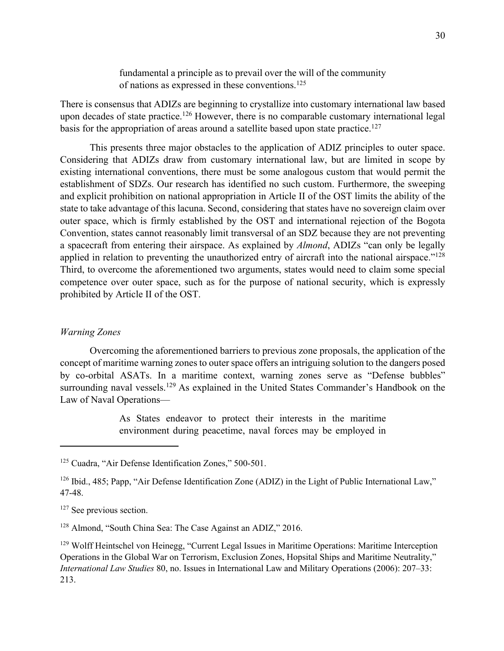fundamental a principle as to prevail over the will of the community of nations as expressed in these conventions.125

There is consensus that ADIZs are beginning to crystallize into customary international law based upon decades of state practice.<sup>126</sup> However, there is no comparable customary international legal basis for the appropriation of areas around a satellite based upon state practice.<sup>127</sup>

This presents three major obstacles to the application of ADIZ principles to outer space. Considering that ADIZs draw from customary international law, but are limited in scope by existing international conventions, there must be some analogous custom that would permit the establishment of SDZs. Our research has identified no such custom. Furthermore, the sweeping and explicit prohibition on national appropriation in Article II of the OST limits the ability of the state to take advantage of this lacuna. Second, considering that states have no sovereign claim over outer space, which is firmly established by the OST and international rejection of the Bogota Convention, states cannot reasonably limit transversal of an SDZ because they are not preventing a spacecraft from entering their airspace. As explained by *Almond*, ADIZs "can only be legally applied in relation to preventing the unauthorized entry of aircraft into the national airspace."<sup>128</sup> Third, to overcome the aforementioned two arguments, states would need to claim some special competence over outer space, such as for the purpose of national security, which is expressly prohibited by Article II of the OST.

### *Warning Zones*

Overcoming the aforementioned barriers to previous zone proposals, the application of the concept of maritime warning zones to outer space offers an intriguing solution to the dangers posed by co-orbital ASATs. In a maritime context, warning zones serve as "Defense bubbles" surrounding naval vessels.<sup>129</sup> As explained in the United States Commander's Handbook on the Law of Naval Operations—

> As States endeavor to protect their interests in the maritime environment during peacetime, naval forces may be employed in

<sup>&</sup>lt;sup>125</sup> Cuadra, "Air Defense Identification Zones," 500-501.

 $126$  Ibid., 485; Papp, "Air Defense Identification Zone (ADIZ) in the Light of Public International Law," 47-48.

<sup>&</sup>lt;sup>127</sup> See previous section.

<sup>&</sup>lt;sup>128</sup> Almond, "South China Sea: The Case Against an ADIZ," 2016.

<sup>&</sup>lt;sup>129</sup> Wolff Heintschel von Heinegg, "Current Legal Issues in Maritime Operations: Maritime Interception Operations in the Global War on Terrorism, Exclusion Zones, Hopsital Ships and Maritime Neutrality," *International Law Studies* 80, no. Issues in International Law and Military Operations (2006): 207–33: 213.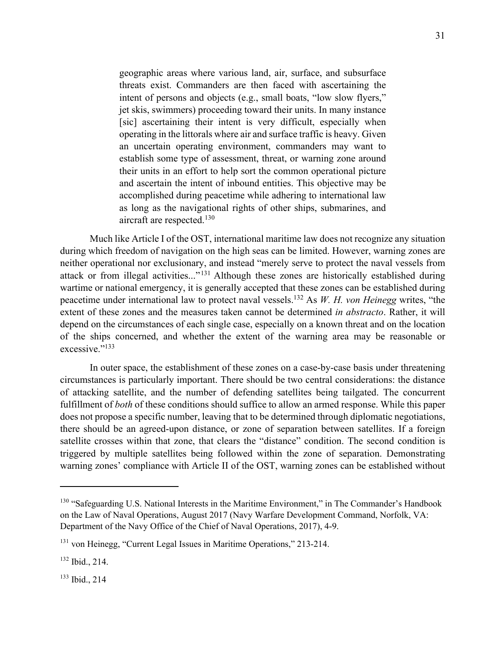geographic areas where various land, air, surface, and subsurface threats exist. Commanders are then faced with ascertaining the intent of persons and objects (e.g., small boats, "low slow flyers," jet skis, swimmers) proceeding toward their units. In many instance [sic] ascertaining their intent is very difficult, especially when operating in the littorals where air and surface traffic is heavy. Given an uncertain operating environment, commanders may want to establish some type of assessment, threat, or warning zone around their units in an effort to help sort the common operational picture and ascertain the intent of inbound entities. This objective may be accomplished during peacetime while adhering to international law as long as the navigational rights of other ships, submarines, and aircraft are respected.130

Much like Article I of the OST, international maritime law does not recognize any situation during which freedom of navigation on the high seas can be limited. However, warning zones are neither operational nor exclusionary, and instead "merely serve to protect the naval vessels from attack or from illegal activities..."131 Although these zones are historically established during wartime or national emergency, it is generally accepted that these zones can be established during peacetime under international law to protect naval vessels. <sup>132</sup> As *W. H. von Heinegg* writes, "the extent of these zones and the measures taken cannot be determined *in abstracto*. Rather, it will depend on the circumstances of each single case, especially on a known threat and on the location of the ships concerned, and whether the extent of the warning area may be reasonable or excessive."<sup>133</sup>

In outer space, the establishment of these zones on a case-by-case basis under threatening circumstances is particularly important. There should be two central considerations: the distance of attacking satellite, and the number of defending satellites being tailgated. The concurrent fulfillment of *both* of these conditions should suffice to allow an armed response. While this paper does not propose a specific number, leaving that to be determined through diplomatic negotiations, there should be an agreed-upon distance, or zone of separation between satellites. If a foreign satellite crosses within that zone, that clears the "distance" condition. The second condition is triggered by multiple satellites being followed within the zone of separation. Demonstrating warning zones' compliance with Article II of the OST, warning zones can be established without

<sup>133</sup> Ibid., 214

<sup>&</sup>lt;sup>130</sup> "Safeguarding U.S. National Interests in the Maritime Environment," in The Commander's Handbook on the Law of Naval Operations, August 2017 (Navy Warfare Development Command, Norfolk, VA: Department of the Navy Office of the Chief of Naval Operations, 2017), 4-9.

<sup>&</sup>lt;sup>131</sup> von Heinegg, "Current Legal Issues in Maritime Operations," 213-214.

<sup>132</sup> Ibid., 214.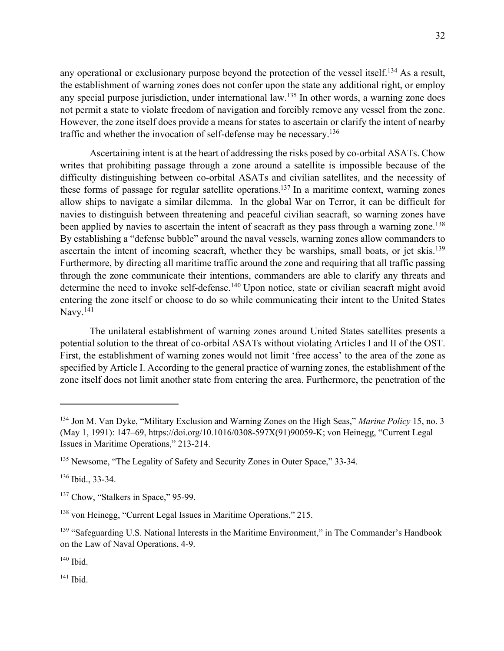any operational or exclusionary purpose beyond the protection of the vessel itself.<sup>134</sup> As a result, the establishment of warning zones does not confer upon the state any additional right, or employ any special purpose jurisdiction, under international law.135 In other words, a warning zone does not permit a state to violate freedom of navigation and forcibly remove any vessel from the zone. However, the zone itself does provide a means for states to ascertain or clarify the intent of nearby traffic and whether the invocation of self-defense may be necessary.136

Ascertaining intent is at the heart of addressing the risks posed by co-orbital ASATs. Chow writes that prohibiting passage through a zone around a satellite is impossible because of the difficulty distinguishing between co-orbital ASATs and civilian satellites, and the necessity of these forms of passage for regular satellite operations.<sup>137</sup> In a maritime context, warning zones allow ships to navigate a similar dilemma. In the global War on Terror, it can be difficult for navies to distinguish between threatening and peaceful civilian seacraft, so warning zones have been applied by navies to ascertain the intent of seacraft as they pass through a warning zone.<sup>138</sup> By establishing a "defense bubble" around the naval vessels, warning zones allow commanders to ascertain the intent of incoming seacraft, whether they be warships, small boats, or jet skis.<sup>139</sup> Furthermore, by directing all maritime traffic around the zone and requiring that all traffic passing through the zone communicate their intentions, commanders are able to clarify any threats and determine the need to invoke self-defense.<sup>140</sup> Upon notice, state or civilian seacraft might avoid entering the zone itself or choose to do so while communicating their intent to the United States Navy.<sup>141</sup>

The unilateral establishment of warning zones around United States satellites presents a potential solution to the threat of co-orbital ASATs without violating Articles I and II of the OST. First, the establishment of warning zones would not limit 'free access' to the area of the zone as specified by Article I. According to the general practice of warning zones, the establishment of the zone itself does not limit another state from entering the area. Furthermore, the penetration of the

<sup>141</sup> Ibid.

<sup>134</sup> Jon M. Van Dyke, "Military Exclusion and Warning Zones on the High Seas," *Marine Policy* 15, no. 3 (May 1, 1991): 147–69, https://doi.org/10.1016/0308-597X(91)90059-K; von Heinegg, "Current Legal Issues in Maritime Operations," 213-214.

<sup>&</sup>lt;sup>135</sup> Newsome, "The Legality of Safety and Security Zones in Outer Space," 33-34.

<sup>136</sup> Ibid., 33-34.

<sup>&</sup>lt;sup>137</sup> Chow, "Stalkers in Space," 95-99.

<sup>138</sup> von Heinegg, "Current Legal Issues in Maritime Operations," 215.

<sup>&</sup>lt;sup>139</sup> "Safeguarding U.S. National Interests in the Maritime Environment," in The Commander's Handbook on the Law of Naval Operations, 4-9.

 $140$  Ibid.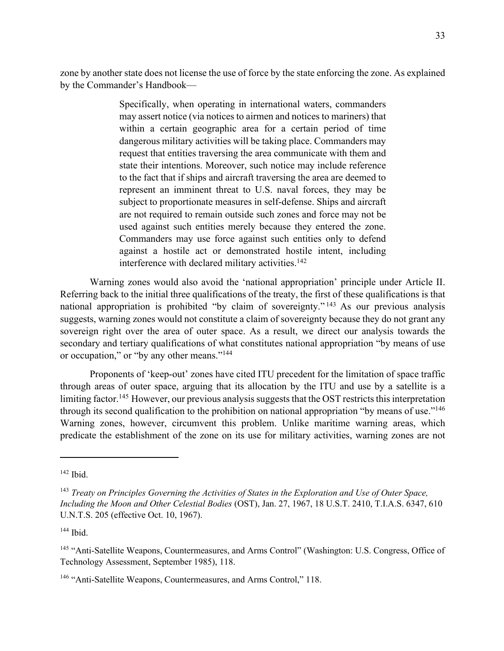zone by another state does not license the use of force by the state enforcing the zone. As explained by the Commander's Handbook—

> Specifically, when operating in international waters, commanders may assert notice (via notices to airmen and notices to mariners) that within a certain geographic area for a certain period of time dangerous military activities will be taking place. Commanders may request that entities traversing the area communicate with them and state their intentions. Moreover, such notice may include reference to the fact that if ships and aircraft traversing the area are deemed to represent an imminent threat to U.S. naval forces, they may be subject to proportionate measures in self-defense. Ships and aircraft are not required to remain outside such zones and force may not be used against such entities merely because they entered the zone. Commanders may use force against such entities only to defend against a hostile act or demonstrated hostile intent, including interference with declared military activities.<sup>142</sup>

Warning zones would also avoid the 'national appropriation' principle under Article II. Referring back to the initial three qualifications of the treaty, the first of these qualifications is that national appropriation is prohibited "by claim of sovereignty." <sup>143</sup> As our previous analysis suggests, warning zones would not constitute a claim of sovereignty because they do not grant any sovereign right over the area of outer space. As a result, we direct our analysis towards the secondary and tertiary qualifications of what constitutes national appropriation "by means of use or occupation," or "by any other means."144

Proponents of 'keep-out' zones have cited ITU precedent for the limitation of space traffic through areas of outer space, arguing that its allocation by the ITU and use by a satellite is a limiting factor.<sup>145</sup> However, our previous analysis suggests that the OST restricts this interpretation through its second qualification to the prohibition on national appropriation "by means of use."<sup>146</sup> Warning zones, however, circumvent this problem. Unlike maritime warning areas, which predicate the establishment of the zone on its use for military activities, warning zones are not

<sup>144</sup> Ibid.

 $142$  Ibid.

<sup>143</sup> *Treaty on Principles Governing the Activities of States in the Exploration and Use of Outer Space, Including the Moon and Other Celestial Bodies* (OST), Jan. 27, 1967, 18 U.S.T. 2410, T.I.A.S. 6347, 610 U.N.T.S. 205 (effective Oct. 10, 1967).

<sup>&</sup>lt;sup>145</sup> "Anti-Satellite Weapons, Countermeasures, and Arms Control" (Washington: U.S. Congress, Office of Technology Assessment, September 1985), 118.

<sup>&</sup>lt;sup>146</sup> "Anti-Satellite Weapons, Countermeasures, and Arms Control," 118.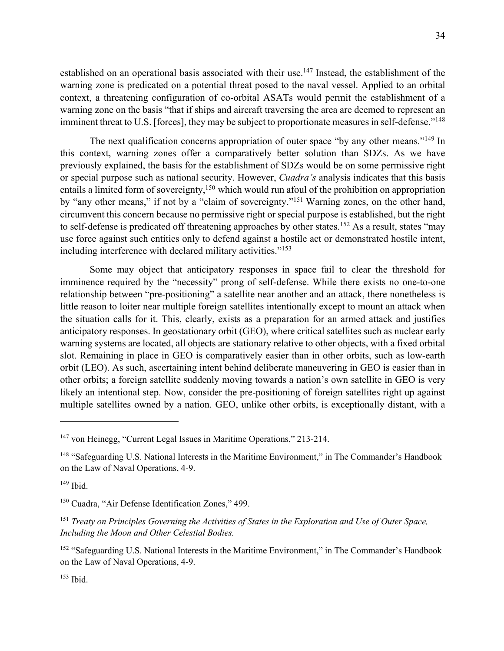established on an operational basis associated with their use.<sup>147</sup> Instead, the establishment of the warning zone is predicated on a potential threat posed to the naval vessel. Applied to an orbital context, a threatening configuration of co-orbital ASATs would permit the establishment of a warning zone on the basis "that if ships and aircraft traversing the area are deemed to represent an imminent threat to U.S. [forces], they may be subject to proportionate measures in self-defense."<sup>148</sup>

The next qualification concerns appropriation of outer space "by any other means."<sup>149</sup> In this context, warning zones offer a comparatively better solution than SDZs. As we have previously explained, the basis for the establishment of SDZs would be on some permissive right or special purpose such as national security. However, *Cuadra's* analysis indicates that this basis entails a limited form of sovereignty,<sup>150</sup> which would run afoul of the prohibition on appropriation by "any other means," if not by a "claim of sovereignty."151 Warning zones, on the other hand, circumvent this concern because no permissive right or special purpose is established, but the right to self-defense is predicated off threatening approaches by other states.<sup>152</sup> As a result, states "may use force against such entities only to defend against a hostile act or demonstrated hostile intent, including interference with declared military activities."153

Some may object that anticipatory responses in space fail to clear the threshold for imminence required by the "necessity" prong of self-defense. While there exists no one-to-one relationship between "pre-positioning" a satellite near another and an attack, there nonetheless is little reason to loiter near multiple foreign satellites intentionally except to mount an attack when the situation calls for it. This, clearly, exists as a preparation for an armed attack and justifies anticipatory responses. In geostationary orbit (GEO), where critical satellites such as nuclear early warning systems are located, all objects are stationary relative to other objects, with a fixed orbital slot. Remaining in place in GEO is comparatively easier than in other orbits, such as low-earth orbit (LEO). As such, ascertaining intent behind deliberate maneuvering in GEO is easier than in other orbits; a foreign satellite suddenly moving towards a nation's own satellite in GEO is very likely an intentional step. Now, consider the pre-positioning of foreign satellites right up against multiple satellites owned by a nation. GEO, unlike other orbits, is exceptionally distant, with a

 $147$  von Heinegg, "Current Legal Issues in Maritime Operations," 213-214.

<sup>&</sup>lt;sup>148</sup> "Safeguarding U.S. National Interests in the Maritime Environment," in The Commander's Handbook on the Law of Naval Operations, 4-9.

 $149$  Ibid.

<sup>&</sup>lt;sup>150</sup> Cuadra, "Air Defense Identification Zones," 499.

<sup>151</sup> *Treaty on Principles Governing the Activities of States in the Exploration and Use of Outer Space, Including the Moon and Other Celestial Bodies.*

<sup>&</sup>lt;sup>152</sup> "Safeguarding U.S. National Interests in the Maritime Environment," in The Commander's Handbook on the Law of Naval Operations, 4-9.

<sup>153</sup> Ibid.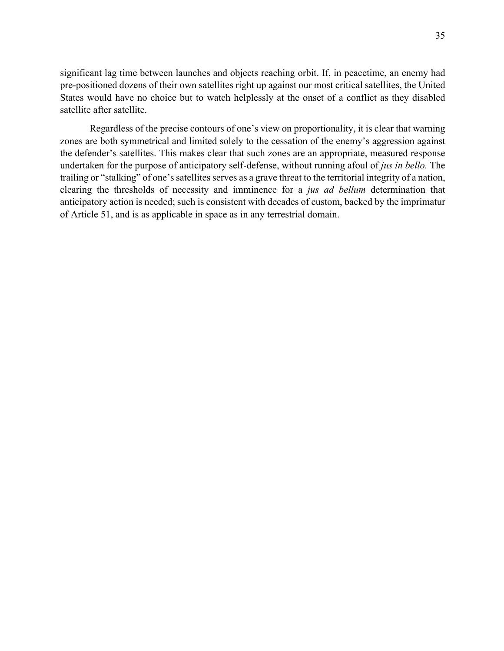significant lag time between launches and objects reaching orbit. If, in peacetime, an enemy had pre-positioned dozens of their own satellites right up against our most critical satellites, the United States would have no choice but to watch helplessly at the onset of a conflict as they disabled satellite after satellite.

Regardless of the precise contours of one's view on proportionality, it is clear that warning zones are both symmetrical and limited solely to the cessation of the enemy's aggression against the defender's satellites. This makes clear that such zones are an appropriate, measured response undertaken for the purpose of anticipatory self-defense, without running afoul of *jus in bello.* The trailing or "stalking" of one's satellites serves as a grave threat to the territorial integrity of a nation, clearing the thresholds of necessity and imminence for a *jus ad bellum* determination that anticipatory action is needed; such is consistent with decades of custom, backed by the imprimatur of Article 51, and is as applicable in space as in any terrestrial domain.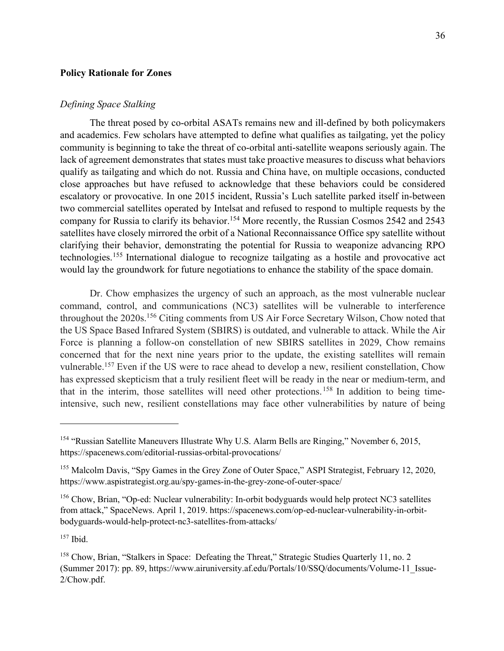#### **Policy Rationale for Zones**

#### *Defining Space Stalking*

The threat posed by co-orbital ASATs remains new and ill-defined by both policymakers and academics. Few scholars have attempted to define what qualifies as tailgating, yet the policy community is beginning to take the threat of co-orbital anti-satellite weapons seriously again. The lack of agreement demonstrates that states must take proactive measures to discuss what behaviors qualify as tailgating and which do not. Russia and China have, on multiple occasions, conducted close approaches but have refused to acknowledge that these behaviors could be considered escalatory or provocative. In one 2015 incident, Russia's Luch satellite parked itself in-between two commercial satellites operated by Intelsat and refused to respond to multiple requests by the company for Russia to clarify its behavior.<sup>154</sup> More recently, the Russian Cosmos 2542 and 2543 satellites have closely mirrored the orbit of a National Reconnaissance Office spy satellite without clarifying their behavior, demonstrating the potential for Russia to weaponize advancing RPO technologies.155 International dialogue to recognize tailgating as a hostile and provocative act would lay the groundwork for future negotiations to enhance the stability of the space domain.

Dr. Chow emphasizes the urgency of such an approach, as the most vulnerable nuclear command, control, and communications (NC3) satellites will be vulnerable to interference throughout the 2020s.<sup>156</sup> Citing comments from US Air Force Secretary Wilson, Chow noted that the US Space Based Infrared System (SBIRS) is outdated, and vulnerable to attack. While the Air Force is planning a follow-on constellation of new SBIRS satellites in 2029, Chow remains concerned that for the next nine years prior to the update, the existing satellites will remain vulnerable.<sup>157</sup> Even if the US were to race ahead to develop a new, resilient constellation, Chow has expressed skepticism that a truly resilient fleet will be ready in the near or medium-term, and that in the interim, those satellites will need other protections. <sup>158</sup> In addition to being timeintensive, such new, resilient constellations may face other vulnerabilities by nature of being

<sup>157</sup> Ibid.

<sup>&</sup>lt;sup>154</sup> "Russian Satellite Maneuvers Illustrate Why U.S. Alarm Bells are Ringing," November 6, 2015, https://spacenews.com/editorial-russias-orbital-provocations/

<sup>&</sup>lt;sup>155</sup> Malcolm Davis, "Spy Games in the Grey Zone of Outer Space," ASPI Strategist, February 12, 2020, https://www.aspistrategist.org.au/spy-games-in-the-grey-zone-of-outer-space/

<sup>&</sup>lt;sup>156</sup> Chow, Brian, "Op-ed: Nuclear vulnerability: In-orbit bodyguards would help protect NC3 satellites from attack," SpaceNews. April 1, 2019. https://spacenews.com/op-ed-nuclear-vulnerability-in-orbitbodyguards-would-help-protect-nc3-satellites-from-attacks/

<sup>158</sup> Chow, Brian, "Stalkers in Space: Defeating the Threat," Strategic Studies Quarterly 11, no. 2 (Summer 2017): pp. 89, https://www.airuniversity.af.edu/Portals/10/SSQ/documents/Volume-11\_Issue-2/Chow.pdf.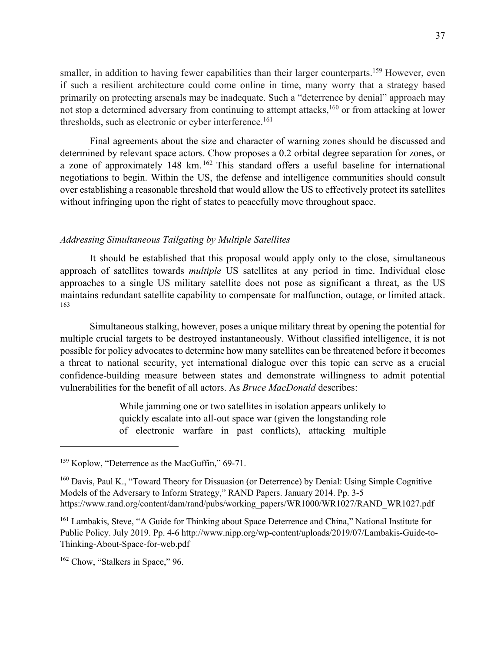smaller, in addition to having fewer capabilities than their larger counterparts.<sup>159</sup> However, even if such a resilient architecture could come online in time, many worry that a strategy based primarily on protecting arsenals may be inadequate. Such a "deterrence by denial" approach may not stop a determined adversary from continuing to attempt attacks,<sup>160</sup> or from attacking at lower thresholds, such as electronic or cyber interference.<sup>161</sup>

Final agreements about the size and character of warning zones should be discussed and determined by relevant space actors. Chow proposes a 0.2 orbital degree separation for zones, or a zone of approximately 148 km. <sup>162</sup> This standard offers a useful baseline for international negotiations to begin. Within the US, the defense and intelligence communities should consult over establishing a reasonable threshold that would allow the US to effectively protect its satellites without infringing upon the right of states to peacefully move throughout space.

## *Addressing Simultaneous Tailgating by Multiple Satellites*

It should be established that this proposal would apply only to the close, simultaneous approach of satellites towards *multiple* US satellites at any period in time. Individual close approaches to a single US military satellite does not pose as significant a threat, as the US maintains redundant satellite capability to compensate for malfunction, outage, or limited attack. 163

Simultaneous stalking, however, poses a unique military threat by opening the potential for multiple crucial targets to be destroyed instantaneously. Without classified intelligence, it is not possible for policy advocates to determine how many satellites can be threatened before it becomes a threat to national security, yet international dialogue over this topic can serve as a crucial confidence-building measure between states and demonstrate willingness to admit potential vulnerabilities for the benefit of all actors. As *Bruce MacDonald* describes:

> While jamming one or two satellites in isolation appears unlikely to quickly escalate into all-out space war (given the longstanding role of electronic warfare in past conflicts), attacking multiple

<sup>&</sup>lt;sup>159</sup> Koplow, "Deterrence as the MacGuffin," 69-71.

 $160$  Davis, Paul K., "Toward Theory for Dissuasion (or Deterrence) by Denial: Using Simple Cognitive Models of the Adversary to Inform Strategy," RAND Papers. January 2014. Pp. 3-5 https://www.rand.org/content/dam/rand/pubs/working\_papers/WR1000/WR1027/RAND\_WR1027.pdf

<sup>&</sup>lt;sup>161</sup> Lambakis, Steve, "A Guide for Thinking about Space Deterrence and China," National Institute for Public Policy. July 2019. Pp. 4-6 http://www.nipp.org/wp-content/uploads/2019/07/Lambakis-Guide-to-Thinking-About-Space-for-web.pdf

 $162$  Chow, "Stalkers in Space," 96.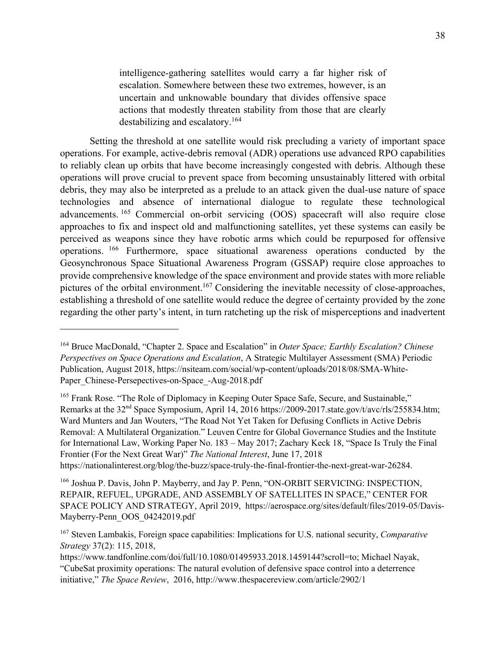intelligence-gathering satellites would carry a far higher risk of escalation. Somewhere between these two extremes, however, is an uncertain and unknowable boundary that divides offensive space actions that modestly threaten stability from those that are clearly destabilizing and escalatory.164

Setting the threshold at one satellite would risk precluding a variety of important space operations. For example, active-debris removal (ADR) operations use advanced RPO capabilities to reliably clean up orbits that have become increasingly congested with debris. Although these operations will prove crucial to prevent space from becoming unsustainably littered with orbital debris, they may also be interpreted as a prelude to an attack given the dual-use nature of space technologies and absence of international dialogue to regulate these technological advancements. <sup>165</sup> Commercial on-orbit servicing (OOS) spacecraft will also require close approaches to fix and inspect old and malfunctioning satellites, yet these systems can easily be perceived as weapons since they have robotic arms which could be repurposed for offensive operations. <sup>166</sup> Furthermore, space situational awareness operations conducted by the Geosynchronous Space Situational Awareness Program (GSSAP) require close approaches to provide comprehensive knowledge of the space environment and provide states with more reliable pictures of the orbital environment.167 Considering the inevitable necessity of close-approaches, establishing a threshold of one satellite would reduce the degree of certainty provided by the zone regarding the other party's intent, in turn ratcheting up the risk of misperceptions and inadvertent

<sup>165</sup> Frank Rose. "The Role of Diplomacy in Keeping Outer Space Safe, Secure, and Sustainable," Remarks at the 32<sup>nd</sup> Space Symposium, April 14, 2016 https://2009-2017.state.gov/t/avc/rls/255834.htm; Ward Munters and Jan Wouters, "The Road Not Yet Taken for Defusing Conflicts in Active Debris Removal: A Multilateral Organization." Leuven Centre for Global Governance Studies and the Institute for International Law, Working Paper No. 183 – May 2017; Zachary Keck 18, "Space Is Truly the Final Frontier (For the Next Great War)" *The National Interest*, June 17, 2018 https://nationalinterest.org/blog/the-buzz/space-truly-the-final-frontier-the-next-great-war-26284.

<sup>164</sup> Bruce MacDonald, "Chapter 2. Space and Escalation" in *Outer Space; Earthly Escalation? Chinese Perspectives on Space Operations and Escalation*, A Strategic Multilayer Assessment (SMA) Periodic Publication, August 2018, https://nsiteam.com/social/wp-content/uploads/2018/08/SMA-White-Paper Chinese-Persepectives-on-Space -Aug-2018.pdf

<sup>&</sup>lt;sup>166</sup> Joshua P. Davis, John P. Mayberry, and Jay P. Penn, "ON-ORBIT SERVICING: INSPECTION, REPAIR, REFUEL, UPGRADE, AND ASSEMBLY OF SATELLITES IN SPACE," CENTER FOR SPACE POLICY AND STRATEGY, April 2019, https://aerospace.org/sites/default/files/2019-05/Davis-Mayberry-Penn\_OOS\_04242019.pdf

<sup>167</sup> Steven Lambakis, Foreign space capabilities: Implications for U.S. national security, *Comparative Strategy* 37(2): 115, 2018,

https://www.tandfonline.com/doi/full/10.1080/01495933.2018.1459144?scroll=to; Michael Nayak, "CubeSat proximity operations: The natural evolution of defensive space control into a deterrence initiative," *The Space Review*, 2016, http://www.thespacereview.com/article/2902/1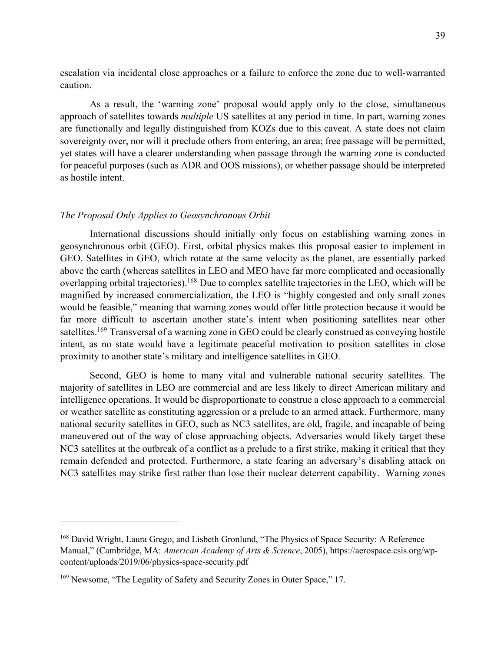escalation via incidental close approaches or a failure to enforce the zone due to well-warranted caution.

 As a result, the 'warning zone' proposal would apply only to the close, simultaneous approach of satellites towards *multiple* US satellites at any period in time. In part, warning zones are functionally and legally distinguished from KOZs due to this caveat. A state does not claim sovereignty over, nor will it preclude others from entering, an area; free passage will be permitted, yet states will have a clearer understanding when passage through the warning zone is conducted for peaceful purposes (such as ADR and OOS missions), or whether passage should be interpreted as hostile intent.

#### *The Proposal Only Applies to Geosynchronous Orbit*

International discussions should initially only focus on establishing warning zones in geosynchronous orbit (GEO). First, orbital physics makes this proposal easier to implement in GEO. Satellites in GEO, which rotate at the same velocity as the planet, are essentially parked above the earth (whereas satellites in LEO and MEO have far more complicated and occasionally overlapping orbital trajectories).<sup>168</sup> Due to complex satellite trajectories in the LEO, which will be magnified by increased commercialization, the LEO is "highly congested and only small zones would be feasible," meaning that warning zones would offer little protection because it would be far more difficult to ascertain another state's intent when positioning satellites near other satellites.<sup>169</sup> Transversal of a warning zone in GEO could be clearly construed as conveying hostile intent, as no state would have a legitimate peaceful motivation to position satellites in close proximity to another state's military and intelligence satellites in GEO.

Second, GEO is home to many vital and vulnerable national security satellites. The majority of satellites in LEO are commercial and are less likely to direct American military and intelligence operations. It would be disproportionate to construe a close approach to a commercial or weather satellite as constituting aggression or a prelude to an armed attack. Furthermore, many national security satellites in GEO, such as NC3 satellites, are old, fragile, and incapable of being maneuvered out of the way of close approaching objects. Adversaries would likely target these NC3 satellites at the outbreak of a conflict as a prelude to a first strike, making it critical that they remain defended and protected. Furthermore, a state fearing an adversary's disabling attack on NC3 satellites may strike first rather than lose their nuclear deterrent capability. Warning zones

<sup>&</sup>lt;sup>168</sup> David Wright, Laura Grego, and Lisbeth Gronlund, "The Physics of Space Security: A Reference Manual," (Cambridge, MA: *American Academy of Arts & Science*, 2005), https://aerospace.csis.org/wpcontent/uploads/2019/06/physics-space-security.pdf

<sup>&</sup>lt;sup>169</sup> Newsome, "The Legality of Safety and Security Zones in Outer Space," 17.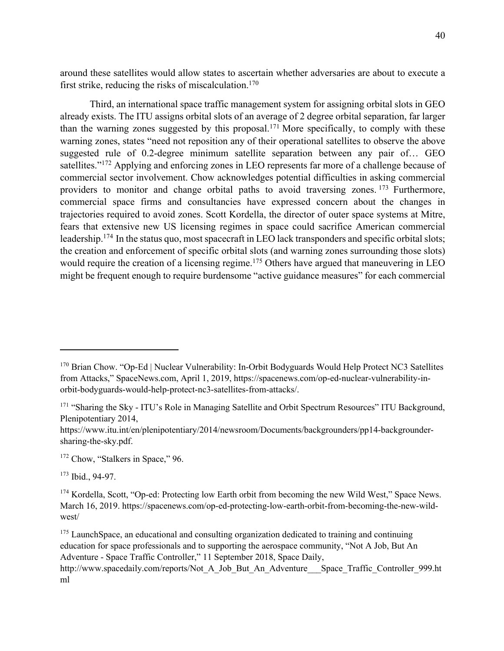around these satellites would allow states to ascertain whether adversaries are about to execute a first strike, reducing the risks of miscalculation.<sup>170</sup>

Third, an international space traffic management system for assigning orbital slots in GEO already exists. The ITU assigns orbital slots of an average of 2 degree orbital separation, far larger than the warning zones suggested by this proposal.<sup>171</sup> More specifically, to comply with these warning zones, states "need not reposition any of their operational satellites to observe the above suggested rule of 0.2-degree minimum satellite separation between any pair of… GEO satellites."<sup>172</sup> Applying and enforcing zones in LEO represents far more of a challenge because of commercial sector involvement. Chow acknowledges potential difficulties in asking commercial providers to monitor and change orbital paths to avoid traversing zones. <sup>173</sup> Furthermore, commercial space firms and consultancies have expressed concern about the changes in trajectories required to avoid zones. Scott Kordella, the director of outer space systems at Mitre, fears that extensive new US licensing regimes in space could sacrifice American commercial leadership.<sup>174</sup> In the status quo, most spacecraft in LEO lack transponders and specific orbital slots; the creation and enforcement of specific orbital slots (and warning zones surrounding those slots) would require the creation of a licensing regime.<sup>175</sup> Others have argued that maneuvering in LEO might be frequent enough to require burdensome "active guidance measures" for each commercial

<sup>172</sup> Chow, "Stalkers in Space," 96.

<sup>173</sup> Ibid., 94-97.

ml

 $175$  LaunchSpace, an educational and consulting organization dedicated to training and continuing education for space professionals and to supporting the aerospace community, "Not A Job, But An Adventure - Space Traffic Controller," 11 September 2018, Space Daily, http://www.spacedaily.com/reports/Not\_A\_Job\_But\_An\_Adventure\_\_\_Space\_Traffic\_Controller\_999.ht

<sup>&</sup>lt;sup>170</sup> Brian Chow. "Op-Ed | Nuclear Vulnerability: In-Orbit Bodyguards Would Help Protect NC3 Satellites from Attacks," SpaceNews.com, April 1, 2019, https://spacenews.com/op-ed-nuclear-vulnerability-inorbit-bodyguards-would-help-protect-nc3-satellites-from-attacks/.

<sup>&</sup>lt;sup>171</sup> "Sharing the Sky - ITU's Role in Managing Satellite and Orbit Spectrum Resources" ITU Background, Plenipotentiary 2014,

https://www.itu.int/en/plenipotentiary/2014/newsroom/Documents/backgrounders/pp14-backgroundersharing-the-sky.pdf.

<sup>&</sup>lt;sup>174</sup> Kordella, Scott, "Op-ed: Protecting low Earth orbit from becoming the new Wild West," Space News. March 16, 2019. https://spacenews.com/op-ed-protecting-low-earth-orbit-from-becoming-the-new-wildwest/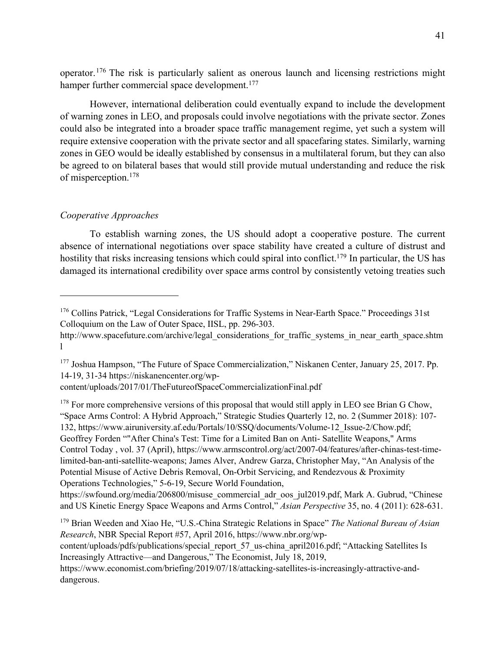operator.176 The risk is particularly salient as onerous launch and licensing restrictions might hamper further commercial space development.<sup>177</sup>

However, international deliberation could eventually expand to include the development of warning zones in LEO, and proposals could involve negotiations with the private sector. Zones could also be integrated into a broader space traffic management regime, yet such a system will require extensive cooperation with the private sector and all spacefaring states. Similarly, warning zones in GEO would be ideally established by consensus in a multilateral forum, but they can also be agreed to on bilateral bases that would still provide mutual understanding and reduce the risk of misperception.178

## *Cooperative Approaches*

To establish warning zones, the US should adopt a cooperative posture. The current absence of international negotiations over space stability have created a culture of distrust and hostility that risks increasing tensions which could spiral into conflict.<sup>179</sup> In particular, the US has damaged its international credibility over space arms control by consistently vetoing treaties such

 $178$  For more comprehensive versions of this proposal that would still apply in LEO see Brian G Chow, "Space Arms Control: A Hybrid Approach," Strategic Studies Quarterly 12, no. 2 (Summer 2018): 107- 132, https://www.airuniversity.af.edu/Portals/10/SSQ/documents/Volume-12\_Issue-2/Chow.pdf; Geoffrey Forden ""After China's Test: Time for a Limited Ban on Anti- Satellite Weapons," Arms Control Today , vol. 37 (April), https://www.armscontrol.org/act/2007-04/features/after-chinas-test-timelimited-ban-anti-satellite-weapons; James Alver, Andrew Garza, Christopher May, "An Analysis of the Potential Misuse of Active Debris Removal, On-Orbit Servicing, and Rendezvous & Proximity Operations Technologies," 5-6-19, Secure World Foundation,

https://swfound.org/media/206800/misuse\_commercial\_adr\_oos\_jul2019.pdf, Mark A. Gubrud, "Chinese and US Kinetic Energy Space Weapons and Arms Control," *Asian Perspective* 35, no. 4 (2011): 628-631.

<sup>179</sup> Brian Weeden and Xiao He, "U.S.-China Strategic Relations in Space" *The National Bureau of Asian Research*, NBR Special Report #57, April 2016, https://www.nbr.org/wp-

content/uploads/pdfs/publications/special\_report\_57\_us-china\_april2016.pdf; "Attacking Satellites Is Increasingly Attractive—and Dangerous," The Economist, July 18, 2019,

https://www.economist.com/briefing/2019/07/18/attacking-satellites-is-increasingly-attractive-anddangerous.

<sup>&</sup>lt;sup>176</sup> Collins Patrick, "Legal Considerations for Traffic Systems in Near-Earth Space." Proceedings 31st Colloquium on the Law of Outer Space, IISL, pp. 296-303.

http://www.spacefuture.com/archive/legal\_considerations\_for\_traffic\_systems\_in\_near\_earth\_space.shtm l

<sup>177</sup> Joshua Hampson, "The Future of Space Commercialization," Niskanen Center, January 25, 2017. Pp. 14-19, 31-34 https://niskanencenter.org/wp-

content/uploads/2017/01/TheFutureofSpaceCommercializationFinal.pdf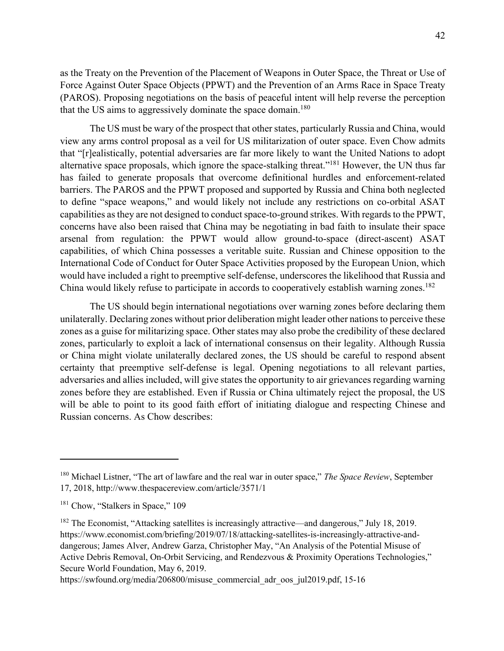as the Treaty on the Prevention of the Placement of Weapons in Outer Space, the Threat or Use of Force Against Outer Space Objects (PPWT) and the Prevention of an Arms Race in Space Treaty (PAROS). Proposing negotiations on the basis of peaceful intent will help reverse the perception that the US aims to aggressively dominate the space domain.<sup>180</sup>

The US must be wary of the prospect that other states, particularly Russia and China, would view any arms control proposal as a veil for US militarization of outer space. Even Chow admits that "[r]ealistically, potential adversaries are far more likely to want the United Nations to adopt alternative space proposals, which ignore the space-stalking threat."<sup>181</sup> However, the UN thus far has failed to generate proposals that overcome definitional hurdles and enforcement-related barriers. The PAROS and the PPWT proposed and supported by Russia and China both neglected to define "space weapons," and would likely not include any restrictions on co-orbital ASAT capabilities as they are not designed to conduct space-to-ground strikes. With regards to the PPWT, concerns have also been raised that China may be negotiating in bad faith to insulate their space arsenal from regulation: the PPWT would allow ground-to-space (direct-ascent) ASAT capabilities, of which China possesses a veritable suite. Russian and Chinese opposition to the International Code of Conduct for Outer Space Activities proposed by the European Union, which would have included a right to preemptive self-defense, underscores the likelihood that Russia and China would likely refuse to participate in accords to cooperatively establish warning zones.<sup>182</sup>

The US should begin international negotiations over warning zones before declaring them unilaterally. Declaring zones without prior deliberation might leader other nations to perceive these zones as a guise for militarizing space. Other states may also probe the credibility of these declared zones, particularly to exploit a lack of international consensus on their legality. Although Russia or China might violate unilaterally declared zones, the US should be careful to respond absent certainty that preemptive self-defense is legal. Opening negotiations to all relevant parties, adversaries and allies included, will give states the opportunity to air grievances regarding warning zones before they are established. Even if Russia or China ultimately reject the proposal, the US will be able to point to its good faith effort of initiating dialogue and respecting Chinese and Russian concerns. As Chow describes:

<sup>180</sup> Michael Listner, "The art of lawfare and the real war in outer space," *The Space Review*, September 17, 2018, http://www.thespacereview.com/article/3571/1

<sup>&</sup>lt;sup>181</sup> Chow, "Stalkers in Space," 109

<sup>&</sup>lt;sup>182</sup> The Economist, "Attacking satellites is increasingly attractive—and dangerous," July 18, 2019. https://www.economist.com/briefing/2019/07/18/attacking-satellites-is-increasingly-attractive-anddangerous; James Alver, Andrew Garza, Christopher May, "An Analysis of the Potential Misuse of Active Debris Removal, On-Orbit Servicing, and Rendezvous & Proximity Operations Technologies," Secure World Foundation, May 6, 2019.

https://swfound.org/media/206800/misuse\_commercial\_adr\_oos\_jul2019.pdf, 15-16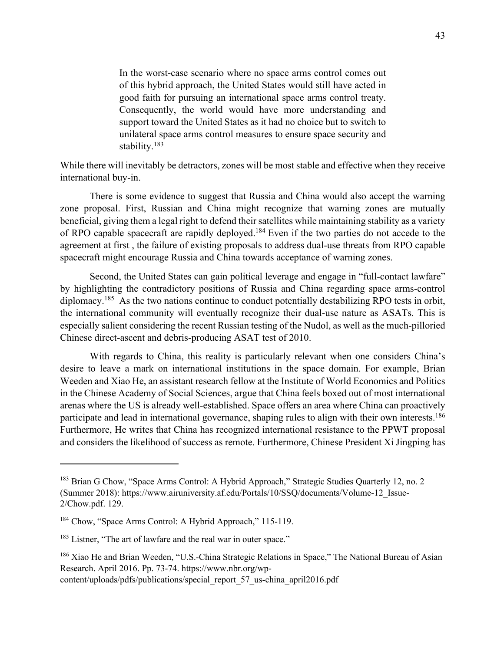In the worst-case scenario where no space arms control comes out of this hybrid approach, the United States would still have acted in good faith for pursuing an international space arms control treaty. Consequently, the world would have more understanding and support toward the United States as it had no choice but to switch to unilateral space arms control measures to ensure space security and stability.183

While there will inevitably be detractors, zones will be most stable and effective when they receive international buy-in.

There is some evidence to suggest that Russia and China would also accept the warning zone proposal. First, Russian and China might recognize that warning zones are mutually beneficial, giving them a legal right to defend their satellites while maintaining stability as a variety of RPO capable spacecraft are rapidly deployed.<sup>184</sup> Even if the two parties do not accede to the agreement at first , the failure of existing proposals to address dual-use threats from RPO capable spacecraft might encourage Russia and China towards acceptance of warning zones.

Second, the United States can gain political leverage and engage in "full-contact lawfare" by highlighting the contradictory positions of Russia and China regarding space arms-control diplomacy.<sup>185</sup> As the two nations continue to conduct potentially destabilizing RPO tests in orbit, the international community will eventually recognize their dual-use nature as ASATs. This is especially salient considering the recent Russian testing of the Nudol, as well as the much-pilloried Chinese direct-ascent and debris-producing ASAT test of 2010.

With regards to China, this reality is particularly relevant when one considers China's desire to leave a mark on international institutions in the space domain. For example, Brian Weeden and Xiao He, an assistant research fellow at the Institute of World Economics and Politics in the Chinese Academy of Social Sciences, argue that China feels boxed out of most international arenas where the US is already well-established. Space offers an area where China can proactively participate and lead in international governance, shaping rules to align with their own interests.<sup>186</sup> Furthermore, He writes that China has recognized international resistance to the PPWT proposal and considers the likelihood of success as remote. Furthermore, Chinese President Xi Jingping has

<sup>&</sup>lt;sup>183</sup> Brian G Chow, "Space Arms Control: A Hybrid Approach," Strategic Studies Quarterly 12, no. 2 (Summer 2018): https://www.airuniversity.af.edu/Portals/10/SSQ/documents/Volume-12\_Issue-2/Chow.pdf. 129.

<sup>&</sup>lt;sup>184</sup> Chow, "Space Arms Control: A Hybrid Approach," 115-119.

<sup>&</sup>lt;sup>185</sup> Listner, "The art of lawfare and the real war in outer space."

<sup>&</sup>lt;sup>186</sup> Xiao He and Brian Weeden, "U.S.-China Strategic Relations in Space," The National Bureau of Asian Research. April 2016. Pp. 73-74. https://www.nbr.org/wpcontent/uploads/pdfs/publications/special\_report\_57\_us-china\_april2016.pdf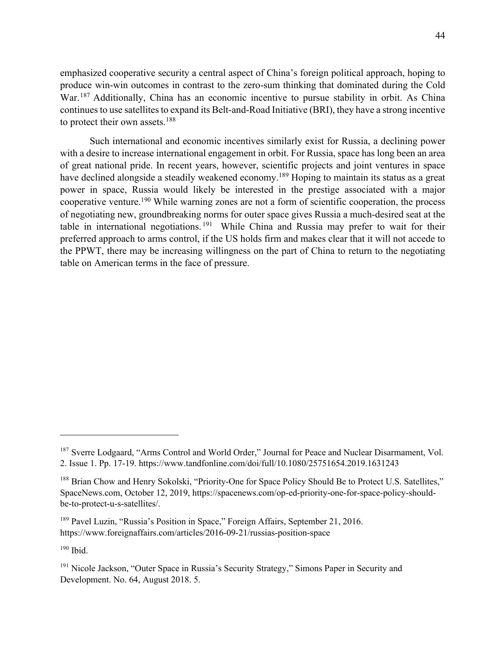emphasized cooperative security a central aspect of China's foreign political approach, hoping to produce win-win outcomes in contrast to the zero-sum thinking that dominated during the Cold War.<sup>187</sup> Additionally, China has an economic incentive to pursue stability in orbit. As China continues to use satellites to expand its Belt-and-Road Initiative (BRI), they have a strong incentive

Such international and economic incentives similarly exist for Russia, a declining power with a desire to increase international engagement in orbit. For Russia, space has long been an area of great national pride. In recent years, however, scientific projects and joint ventures in space have declined alongside a steadily weakened economy.<sup>189</sup> Hoping to maintain its status as a great power in space, Russia would likely be interested in the prestige associated with a major cooperative venture.190 While warning zones are not a form of scientific cooperation, the process of negotiating new, groundbreaking norms for outer space gives Russia a much-desired seat at the table in international negotiations. <sup>191</sup> While China and Russia may prefer to wait for their preferred approach to arms control, if the US holds firm and makes clear that it will not accede to the PPWT, there may be increasing willingness on the part of China to return to the negotiating table on American terms in the face of pressure.

 $190$  Ibid.

to protect their own assets.<sup>188</sup>

<sup>&</sup>lt;sup>187</sup> Sverre Lodgaard, "Arms Control and World Order," Journal for Peace and Nuclear Disarmament, Vol. 2. Issue 1. Pp. 17-19. https://www.tandfonline.com/doi/full/10.1080/25751654.2019.1631243

<sup>&</sup>lt;sup>188</sup> Brian Chow and Henry Sokolski, "Priority-One for Space Policy Should Be to Protect U.S. Satellites," SpaceNews.com, October 12, 2019, https://spacenews.com/op-ed-priority-one-for-space-policy-shouldbe-to-protect-u-s-satellites/.

<sup>&</sup>lt;sup>189</sup> Pavel Luzin, "Russia's Position in Space," Foreign Affairs, September 21, 2016. https://www.foreignaffairs.com/articles/2016-09-21/russias-position-space

<sup>&</sup>lt;sup>191</sup> Nicole Jackson, "Outer Space in Russia's Security Strategy," Simons Paper in Security and Development. No. 64, August 2018. 5.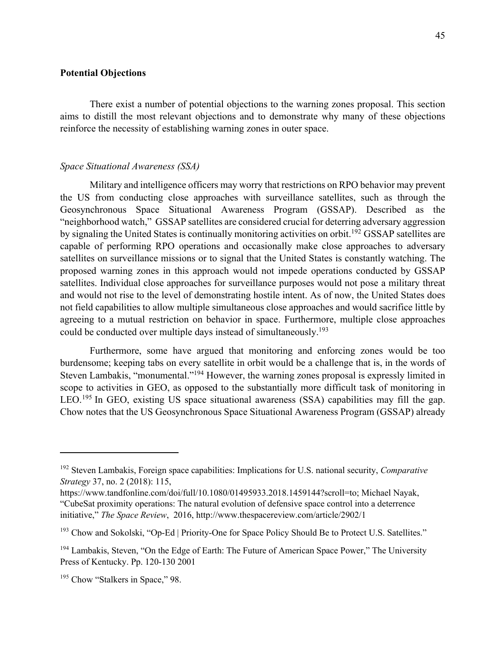### **Potential Objections**

There exist a number of potential objections to the warning zones proposal. This section aims to distill the most relevant objections and to demonstrate why many of these objections reinforce the necessity of establishing warning zones in outer space.

#### *Space Situational Awareness (SSA)*

Military and intelligence officers may worry that restrictions on RPO behavior may prevent the US from conducting close approaches with surveillance satellites, such as through the Geosynchronous Space Situational Awareness Program (GSSAP). Described as the "neighborhood watch," GSSAP satellites are considered crucial for deterring adversary aggression by signaling the United States is continually monitoring activities on orbit.<sup>192</sup> GSSAP satellites are capable of performing RPO operations and occasionally make close approaches to adversary satellites on surveillance missions or to signal that the United States is constantly watching. The proposed warning zones in this approach would not impede operations conducted by GSSAP satellites. Individual close approaches for surveillance purposes would not pose a military threat and would not rise to the level of demonstrating hostile intent. As of now, the United States does not field capabilities to allow multiple simultaneous close approaches and would sacrifice little by agreeing to a mutual restriction on behavior in space. Furthermore, multiple close approaches could be conducted over multiple days instead of simultaneously.<sup>193</sup>

Furthermore, some have argued that monitoring and enforcing zones would be too burdensome; keeping tabs on every satellite in orbit would be a challenge that is, in the words of Steven Lambakis, "monumental."<sup>194</sup> However, the warning zones proposal is expressly limited in scope to activities in GEO, as opposed to the substantially more difficult task of monitoring in LEO.<sup>195</sup> In GEO, existing US space situational awareness (SSA) capabilities may fill the gap. Chow notes that the US Geosynchronous Space Situational Awareness Program (GSSAP) already

<sup>192</sup> Steven Lambakis, Foreign space capabilities: Implications for U.S. national security, *Comparative Strategy* 37, no. 2 (2018): 115,

https://www.tandfonline.com/doi/full/10.1080/01495933.2018.1459144?scroll=to; Michael Nayak, "CubeSat proximity operations: The natural evolution of defensive space control into a deterrence initiative," *The Space Review*, 2016, http://www.thespacereview.com/article/2902/1

<sup>&</sup>lt;sup>193</sup> Chow and Sokolski, "Op-Ed | Priority-One for Space Policy Should Be to Protect U.S. Satellites."

<sup>&</sup>lt;sup>194</sup> Lambakis, Steven, "On the Edge of Earth: The Future of American Space Power," The University Press of Kentucky. Pp. 120-130 2001

<sup>&</sup>lt;sup>195</sup> Chow "Stalkers in Space," 98.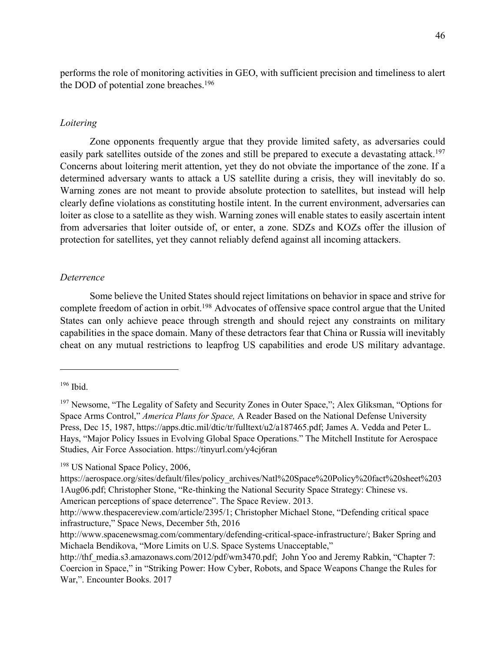performs the role of monitoring activities in GEO, with sufficient precision and timeliness to alert the DOD of potential zone breaches. 196

### *Loitering*

Zone opponents frequently argue that they provide limited safety, as adversaries could easily park satellites outside of the zones and still be prepared to execute a devastating attack.<sup>197</sup> Concerns about loitering merit attention, yet they do not obviate the importance of the zone. If a determined adversary wants to attack a US satellite during a crisis, they will inevitably do so. Warning zones are not meant to provide absolute protection to satellites, but instead will help clearly define violations as constituting hostile intent. In the current environment, adversaries can loiter as close to a satellite as they wish. Warning zones will enable states to easily ascertain intent from adversaries that loiter outside of, or enter, a zone. SDZs and KOZs offer the illusion of protection for satellites, yet they cannot reliably defend against all incoming attackers.

## *Deterrence*

Some believe the United States should reject limitations on behavior in space and strive for complete freedom of action in orbit.<sup>198</sup> Advocates of offensive space control argue that the United States can only achieve peace through strength and should reject any constraints on military capabilities in the space domain. Many of these detractors fear that China or Russia will inevitably cheat on any mutual restrictions to leapfrog US capabilities and erode US military advantage.

<sup>198</sup> US National Space Policy, 2006,

American perceptions of space deterrence". The Space Review. 2013.

 $196$  Ibid.

<sup>&</sup>lt;sup>197</sup> Newsome, "The Legality of Safety and Security Zones in Outer Space,"; Alex Gliksman, "Options for Space Arms Control," *America Plans for Space,* A Reader Based on the National Defense University Press, Dec 15, 1987, https://apps.dtic.mil/dtic/tr/fulltext/u2/a187465.pdf; James A. Vedda and Peter L. Hays, "Major Policy Issues in Evolving Global Space Operations." The Mitchell Institute for Aerospace Studies, Air Force Association. https://tinyurl.com/y4cj6ran

https://aerospace.org/sites/default/files/policy\_archives/Natl%20Space%20Policy%20fact%20sheet%203 1Aug06.pdf; Christopher Stone, "Re-thinking the National Security Space Strategy: Chinese vs.

http://www.thespacereview.com/article/2395/1; Christopher Michael Stone, "Defending critical space infrastructure," Space News, December 5th, 2016

http://www.spacenewsmag.com/commentary/defending-critical-space-infrastructure/; Baker Spring and Michaela Bendikova, "More Limits on U.S. Space Systems Unacceptable,"

http://thf\_media.s3.amazonaws.com/2012/pdf/wm3470.pdf; John Yoo and Jeremy Rabkin, "Chapter 7: Coercion in Space," in "Striking Power: How Cyber, Robots, and Space Weapons Change the Rules for War,". Encounter Books. 2017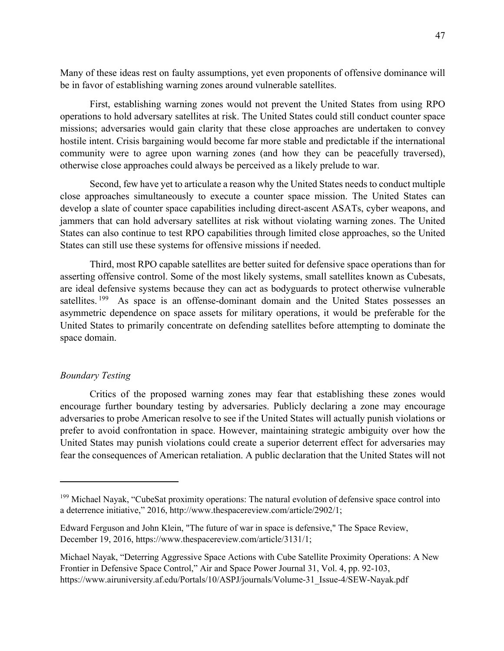Many of these ideas rest on faulty assumptions, yet even proponents of offensive dominance will be in favor of establishing warning zones around vulnerable satellites.

First, establishing warning zones would not prevent the United States from using RPO operations to hold adversary satellites at risk. The United States could still conduct counter space missions; adversaries would gain clarity that these close approaches are undertaken to convey hostile intent. Crisis bargaining would become far more stable and predictable if the international community were to agree upon warning zones (and how they can be peacefully traversed), otherwise close approaches could always be perceived as a likely prelude to war.

Second, few have yet to articulate a reason why the United States needs to conduct multiple close approaches simultaneously to execute a counter space mission. The United States can develop a slate of counter space capabilities including direct-ascent ASATs, cyber weapons, and jammers that can hold adversary satellites at risk without violating warning zones. The United States can also continue to test RPO capabilities through limited close approaches, so the United States can still use these systems for offensive missions if needed.

Third, most RPO capable satellites are better suited for defensive space operations than for asserting offensive control. Some of the most likely systems, small satellites known as Cubesats, are ideal defensive systems because they can act as bodyguards to protect otherwise vulnerable satellites. <sup>199</sup> As space is an offense-dominant domain and the United States possesses an asymmetric dependence on space assets for military operations, it would be preferable for the United States to primarily concentrate on defending satellites before attempting to dominate the space domain.

### *Boundary Testing*

Critics of the proposed warning zones may fear that establishing these zones would encourage further boundary testing by adversaries. Publicly declaring a zone may encourage adversaries to probe American resolve to see if the United States will actually punish violations or prefer to avoid confrontation in space. However, maintaining strategic ambiguity over how the United States may punish violations could create a superior deterrent effect for adversaries may fear the consequences of American retaliation. A public declaration that the United States will not

<sup>&</sup>lt;sup>199</sup> Michael Nayak, "CubeSat proximity operations: The natural evolution of defensive space control into a deterrence initiative," 2016, http://www.thespacereview.com/article/2902/1;

Edward Ferguson and John Klein, "The future of war in space is defensive," The Space Review, December 19, 2016, https://www.thespacereview.com/article/3131/1;

Michael Nayak, "Deterring Aggressive Space Actions with Cube Satellite Proximity Operations: A New Frontier in Defensive Space Control," Air and Space Power Journal 31, Vol. 4, pp. 92-103, https://www.airuniversity.af.edu/Portals/10/ASPJ/journals/Volume-31\_Issue-4/SEW-Nayak.pdf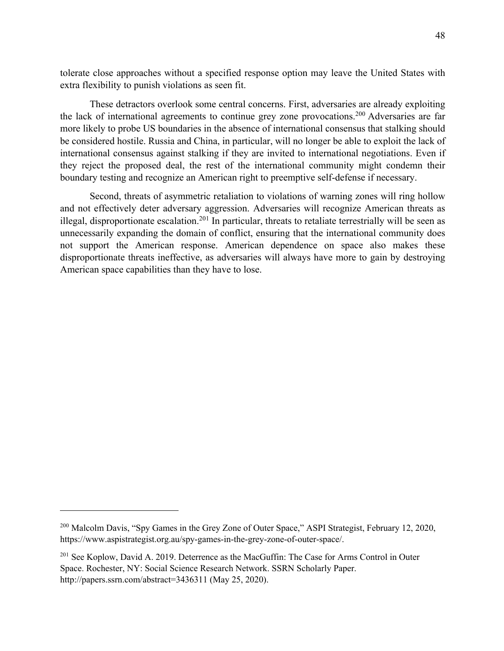tolerate close approaches without a specified response option may leave the United States with extra flexibility to punish violations as seen fit.

These detractors overlook some central concerns. First, adversaries are already exploiting the lack of international agreements to continue grey zone provocations.<sup>200</sup> Adversaries are far more likely to probe US boundaries in the absence of international consensus that stalking should be considered hostile. Russia and China, in particular, will no longer be able to exploit the lack of international consensus against stalking if they are invited to international negotiations. Even if they reject the proposed deal, the rest of the international community might condemn their boundary testing and recognize an American right to preemptive self-defense if necessary.

Second, threats of asymmetric retaliation to violations of warning zones will ring hollow and not effectively deter adversary aggression. Adversaries will recognize American threats as illegal, disproportionate escalation.<sup>201</sup> In particular, threats to retaliate terrestrially will be seen as unnecessarily expanding the domain of conflict, ensuring that the international community does not support the American response. American dependence on space also makes these disproportionate threats ineffective, as adversaries will always have more to gain by destroying American space capabilities than they have to lose.

<sup>&</sup>lt;sup>200</sup> Malcolm Davis, "Spy Games in the Grey Zone of Outer Space," ASPI Strategist, February 12, 2020, https://www.aspistrategist.org.au/spy-games-in-the-grey-zone-of-outer-space/.

<sup>&</sup>lt;sup>201</sup> See Koplow, David A. 2019. Deterrence as the MacGuffin: The Case for Arms Control in Outer Space. Rochester, NY: Social Science Research Network. SSRN Scholarly Paper. http://papers.ssrn.com/abstract=3436311 (May 25, 2020).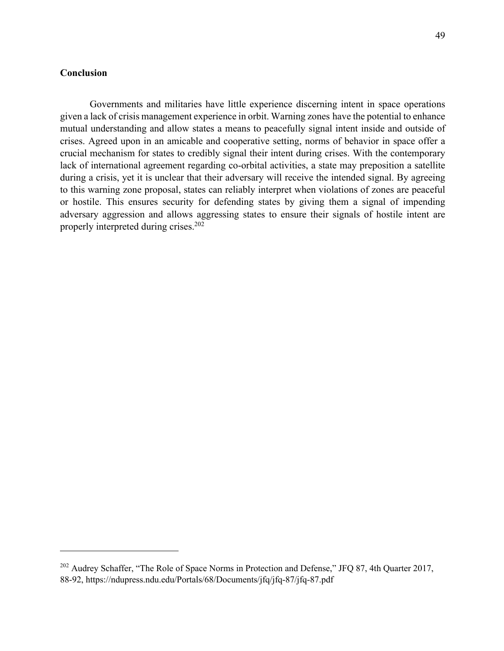# **Conclusion**

Governments and militaries have little experience discerning intent in space operations given a lack of crisis management experience in orbit. Warning zones have the potential to enhance mutual understanding and allow states a means to peacefully signal intent inside and outside of crises. Agreed upon in an amicable and cooperative setting, norms of behavior in space offer a crucial mechanism for states to credibly signal their intent during crises. With the contemporary lack of international agreement regarding co-orbital activities, a state may preposition a satellite during a crisis, yet it is unclear that their adversary will receive the intended signal. By agreeing to this warning zone proposal, states can reliably interpret when violations of zones are peaceful or hostile. This ensures security for defending states by giving them a signal of impending adversary aggression and allows aggressing states to ensure their signals of hostile intent are properly interpreted during crises.<sup>202</sup>

<sup>&</sup>lt;sup>202</sup> Audrey Schaffer, "The Role of Space Norms in Protection and Defense," JFQ 87, 4th Quarter 2017, 88-92, https://ndupress.ndu.edu/Portals/68/Documents/jfq/jfq-87/jfq-87.pdf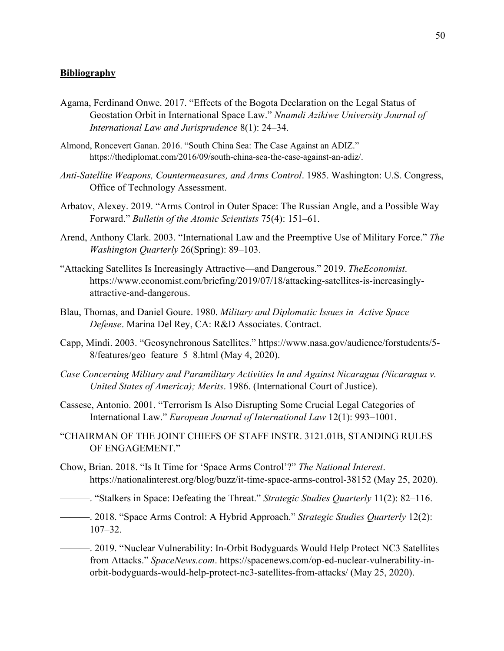#### **Bibliography**

- Agama, Ferdinand Onwe. 2017. "Effects of the Bogota Declaration on the Legal Status of Geostation Orbit in International Space Law." *Nnamdi Azikiwe University Journal of International Law and Jurisprudence* 8(1): 24–34.
- Almond, Roncevert Ganan. 2016. "South China Sea: The Case Against an ADIZ." https://thediplomat.com/2016/09/south-china-sea-the-case-against-an-adiz/.
- *Anti-Satellite Weapons, Countermeasures, and Arms Control*. 1985. Washington: U.S. Congress, Office of Technology Assessment.
- Arbatov, Alexey. 2019. "Arms Control in Outer Space: The Russian Angle, and a Possible Way Forward." *Bulletin of the Atomic Scientists* 75(4): 151–61.
- Arend, Anthony Clark. 2003. "International Law and the Preemptive Use of Military Force." *The Washington Quarterly* 26(Spring): 89–103.
- "Attacking Satellites Is Increasingly Attractive—and Dangerous." 2019. *TheEconomist*. https://www.economist.com/briefing/2019/07/18/attacking-satellites-is-increasinglyattractive-and-dangerous.
- Blau, Thomas, and Daniel Goure. 1980. *Military and Diplomatic Issues in Active Space Defense*. Marina Del Rey, CA: R&D Associates. Contract.
- Capp, Mindi. 2003. "Geosynchronous Satellites." https://www.nasa.gov/audience/forstudents/5- 8/features/geo\_feature\_5\_8.html (May 4, 2020).
- *Case Concerning Military and Paramilitary Activities In and Against Nicaragua (Nicaragua v. United States of America); Merits*. 1986. (International Court of Justice).
- Cassese, Antonio. 2001. "Terrorism Is Also Disrupting Some Crucial Legal Categories of International Law." *European Journal of International Law* 12(1): 993–1001.
- "CHAIRMAN OF THE JOINT CHIEFS OF STAFF INSTR. 3121.01B, STANDING RULES OF ENGAGEMENT."
- Chow, Brian. 2018. "Is It Time for 'Space Arms Control'?" *The National Interest*. https://nationalinterest.org/blog/buzz/it-time-space-arms-control-38152 (May 25, 2020).
- ———. "Stalkers in Space: Defeating the Threat." *Strategic Studies Quarterly* 11(2): 82–116.
- ———. 2018. "Space Arms Control: A Hybrid Approach." *Strategic Studies Quarterly* 12(2): 107–32.
- ———. 2019. "Nuclear Vulnerability: In-Orbit Bodyguards Would Help Protect NC3 Satellites from Attacks." *SpaceNews.com*. https://spacenews.com/op-ed-nuclear-vulnerability-inorbit-bodyguards-would-help-protect-nc3-satellites-from-attacks/ (May 25, 2020).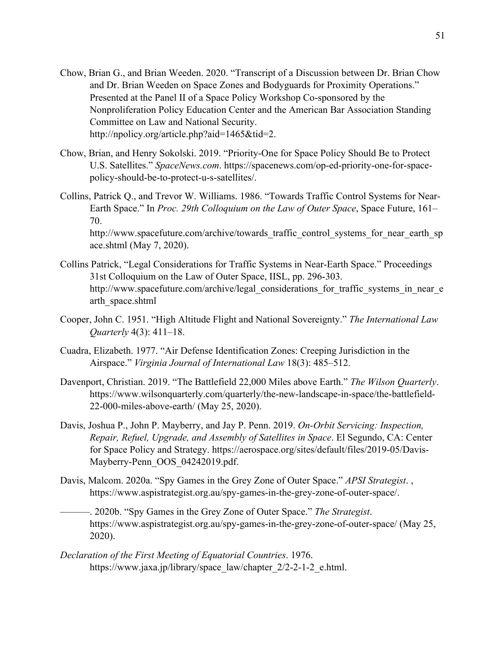- Chow, Brian G., and Brian Weeden. 2020. "Transcript of a Discussion between Dr. Brian Chow and Dr. Brian Weeden on Space Zones and Bodyguards for Proximity Operations." Presented at the Panel II of a Space Policy Workshop Co-sponsored by the Nonproliferation Policy Education Center and the American Bar Association Standing Committee on Law and National Security. http://npolicy.org/article.php?aid=1465&tid=2.
- Chow, Brian, and Henry Sokolski. 2019. "Priority-One for Space Policy Should Be to Protect U.S. Satellites." *SpaceNews.com*. https://spacenews.com/op-ed-priority-one-for-spacepolicy-should-be-to-protect-u-s-satellites/.
- Collins, Patrick Q., and Trevor W. Williams. 1986. "Towards Traffic Control Systems for Near-Earth Space." In *Proc. 29th Colloquium on the Law of Outer Space*, Space Future, 161– 70.

http://www.spacefuture.com/archive/towards\_traffic\_control\_systems\_for\_near\_earth\_sp ace.shtml (May 7, 2020).

- Collins Patrick, "Legal Considerations for Traffic Systems in Near-Earth Space." Proceedings 31st Colloquium on the Law of Outer Space, IISL, pp. 296-303. http://www.spacefuture.com/archive/legal\_considerations\_for\_traffic\_systems\_in\_near\_e arth\_space.shtml
- Cooper, John C. 1951. "High Altitude Flight and National Sovereignty." *The International Law Quarterly* 4(3): 411–18.
- Cuadra, Elizabeth. 1977. "Air Defense Identification Zones: Creeping Jurisdiction in the Airspace." *Virginia Journal of International Law* 18(3): 485–512.
- Davenport, Christian. 2019. "The Battlefield 22,000 Miles above Earth." *The Wilson Quarterly*. https://www.wilsonquarterly.com/quarterly/the-new-landscape-in-space/the-battlefield-22-000-miles-above-earth/ (May 25, 2020).
- Davis, Joshua P., John P. Mayberry, and Jay P. Penn. 2019. *On-Orbit Servicing: Inspection, Repair, Refuel, Upgrade, and Assembly of Satellites in Space*. El Segundo, CA: Center for Space Policy and Strategy. https://aerospace.org/sites/default/files/2019-05/Davis-Mayberry-Penn\_OOS\_04242019.pdf.
- Davis, Malcom. 2020a. "Spy Games in the Grey Zone of Outer Space." *APSI Strategist*. , https://www.aspistrategist.org.au/spy-games-in-the-grey-zone-of-outer-space/.
	- ———. 2020b. "Spy Games in the Grey Zone of Outer Space." *The Strategist*. https://www.aspistrategist.org.au/spy-games-in-the-grey-zone-of-outer-space/ (May 25, 2020).
- *Declaration of the First Meeting of Equatorial Countries*. 1976. https://www.jaxa.jp/library/space\_law/chapter\_2/2-2-1-2\_e.html.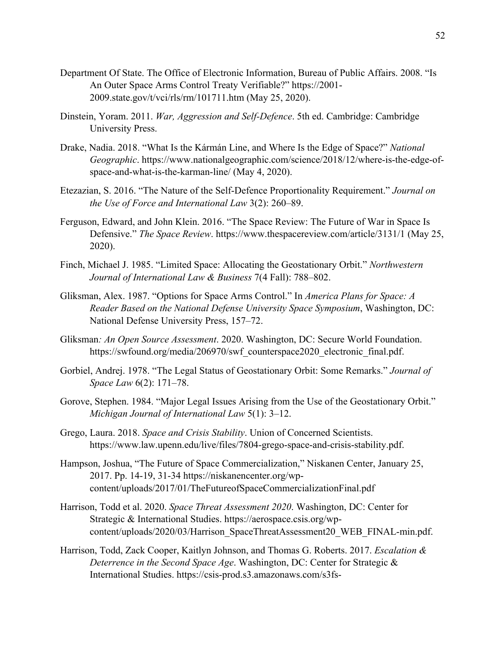- Department Of State. The Office of Electronic Information, Bureau of Public Affairs. 2008. "Is An Outer Space Arms Control Treaty Verifiable?" https://2001- 2009.state.gov/t/vci/rls/rm/101711.htm (May 25, 2020).
- Dinstein, Yoram. 2011. *War, Aggression and Self-Defence*. 5th ed. Cambridge: Cambridge University Press.
- Drake, Nadia. 2018. "What Is the Kármán Line, and Where Is the Edge of Space?" *National Geographic*. https://www.nationalgeographic.com/science/2018/12/where-is-the-edge-ofspace-and-what-is-the-karman-line/ (May 4, 2020).
- Etezazian, S. 2016. "The Nature of the Self-Defence Proportionality Requirement." *Journal on the Use of Force and International Law* 3(2): 260–89.
- Ferguson, Edward, and John Klein. 2016. "The Space Review: The Future of War in Space Is Defensive." *The Space Review*. https://www.thespacereview.com/article/3131/1 (May 25, 2020).
- Finch, Michael J. 1985. "Limited Space: Allocating the Geostationary Orbit." *Northwestern Journal of International Law & Business* 7(4 Fall): 788–802.
- Gliksman, Alex. 1987. "Options for Space Arms Control." In *America Plans for Space: A Reader Based on the National Defense University Space Symposium*, Washington, DC: National Defense University Press, 157–72.
- Gliksman*: An Open Source Assessment*. 2020. Washington, DC: Secure World Foundation. https://swfound.org/media/206970/swf counterspace2020 electronic final.pdf.
- Gorbiel, Andrej. 1978. "The Legal Status of Geostationary Orbit: Some Remarks." *Journal of Space Law* 6(2): 171–78.
- Gorove, Stephen. 1984. "Major Legal Issues Arising from the Use of the Geostationary Orbit." *Michigan Journal of International Law* 5(1): 3–12.
- Grego, Laura. 2018. *Space and Crisis Stability*. Union of Concerned Scientists. https://www.law.upenn.edu/live/files/7804-grego-space-and-crisis-stability.pdf.
- Hampson, Joshua, "The Future of Space Commercialization," Niskanen Center, January 25, 2017. Pp. 14-19, 31-34 https://niskanencenter.org/wpcontent/uploads/2017/01/TheFutureofSpaceCommercializationFinal.pdf
- Harrison, Todd et al. 2020. *Space Threat Assessment 2020*. Washington, DC: Center for Strategic & International Studies. https://aerospace.csis.org/wpcontent/uploads/2020/03/Harrison\_SpaceThreatAssessment20\_WEB\_FINAL-min.pdf.
- Harrison, Todd, Zack Cooper, Kaitlyn Johnson, and Thomas G. Roberts. 2017. *Escalation & Deterrence in the Second Space Age*. Washington, DC: Center for Strategic & International Studies. https://csis-prod.s3.amazonaws.com/s3fs-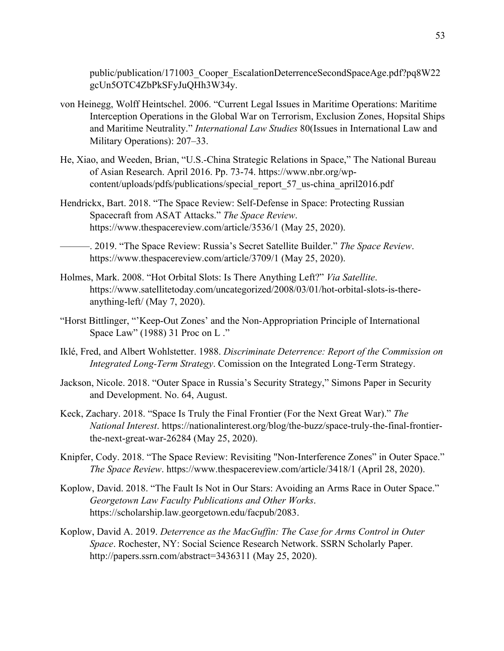public/publication/171003\_Cooper\_EscalationDeterrenceSecondSpaceAge.pdf?pq8W22 gcUn5OTC4ZbPkSFyJuQHh3W34y.

- von Heinegg, Wolff Heintschel. 2006. "Current Legal Issues in Maritime Operations: Maritime Interception Operations in the Global War on Terrorism, Exclusion Zones, Hopsital Ships and Maritime Neutrality." *International Law Studies* 80(Issues in International Law and Military Operations): 207–33.
- He, Xiao, and Weeden, Brian, "U.S.-China Strategic Relations in Space," The National Bureau of Asian Research. April 2016. Pp. 73-74. https://www.nbr.org/wpcontent/uploads/pdfs/publications/special\_report\_57\_us-china\_april2016.pdf
- Hendrickx, Bart. 2018. "The Space Review: Self-Defense in Space: Protecting Russian Spacecraft from ASAT Attacks." *The Space Review*. https://www.thespacereview.com/article/3536/1 (May 25, 2020).

———. 2019. "The Space Review: Russia's Secret Satellite Builder." *The Space Review*. https://www.thespacereview.com/article/3709/1 (May 25, 2020).

- Holmes, Mark. 2008. "Hot Orbital Slots: Is There Anything Left?" *Via Satellite*. https://www.satellitetoday.com/uncategorized/2008/03/01/hot-orbital-slots-is-thereanything-left/ (May 7, 2020).
- "Horst Bittlinger, "'Keep-Out Zones' and the Non-Appropriation Principle of International Space Law" (1988) 31 Proc on L ."
- Iklé, Fred, and Albert Wohlstetter. 1988. *Discriminate Deterrence: Report of the Commission on Integrated Long-Term Strategy*. Comission on the Integrated Long-Term Strategy.
- Jackson, Nicole. 2018. "Outer Space in Russia's Security Strategy," Simons Paper in Security and Development. No. 64, August.
- Keck, Zachary. 2018. "Space Is Truly the Final Frontier (For the Next Great War)." *The National Interest*. https://nationalinterest.org/blog/the-buzz/space-truly-the-final-frontierthe-next-great-war-26284 (May 25, 2020).
- Knipfer, Cody. 2018. "The Space Review: Revisiting "Non-Interference Zones" in Outer Space." *The Space Review*. https://www.thespacereview.com/article/3418/1 (April 28, 2020).
- Koplow, David. 2018. "The Fault Is Not in Our Stars: Avoiding an Arms Race in Outer Space." *Georgetown Law Faculty Publications and Other Works*. https://scholarship.law.georgetown.edu/facpub/2083.
- Koplow, David A. 2019. *Deterrence as the MacGuffin: The Case for Arms Control in Outer Space*. Rochester, NY: Social Science Research Network. SSRN Scholarly Paper. http://papers.ssrn.com/abstract=3436311 (May 25, 2020).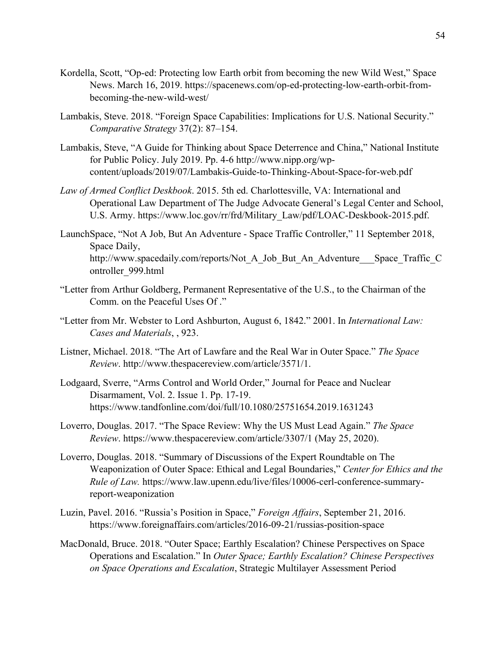- Kordella, Scott, "Op-ed: Protecting low Earth orbit from becoming the new Wild West," Space News. March 16, 2019. https://spacenews.com/op-ed-protecting-low-earth-orbit-frombecoming-the-new-wild-west/
- Lambakis, Steve. 2018. "Foreign Space Capabilities: Implications for U.S. National Security." *Comparative Strategy* 37(2): 87–154.
- Lambakis, Steve, "A Guide for Thinking about Space Deterrence and China," National Institute for Public Policy. July 2019. Pp. 4-6 http://www.nipp.org/wpcontent/uploads/2019/07/Lambakis-Guide-to-Thinking-About-Space-for-web.pdf
- *Law of Armed Conflict Deskbook*. 2015. 5th ed. Charlottesville, VA: International and Operational Law Department of The Judge Advocate General's Legal Center and School, U.S. Army. https://www.loc.gov/rr/frd/Military\_Law/pdf/LOAC-Deskbook-2015.pdf.
- LaunchSpace, "Not A Job, But An Adventure Space Traffic Controller," 11 September 2018, Space Daily, http://www.spacedaily.com/reports/Not A Job But An Adventure Space Traffic C ontroller\_999.html
- "Letter from Arthur Goldberg, Permanent Representative of the U.S., to the Chairman of the Comm. on the Peaceful Uses Of ."
- "Letter from Mr. Webster to Lord Ashburton, August 6, 1842." 2001. In *International Law: Cases and Materials*, , 923.
- Listner, Michael. 2018. "The Art of Lawfare and the Real War in Outer Space." *The Space Review*. http://www.thespacereview.com/article/3571/1.
- Lodgaard, Sverre, "Arms Control and World Order," Journal for Peace and Nuclear Disarmament, Vol. 2. Issue 1. Pp. 17-19. https://www.tandfonline.com/doi/full/10.1080/25751654.2019.1631243
- Loverro, Douglas. 2017. "The Space Review: Why the US Must Lead Again." *The Space Review*. https://www.thespacereview.com/article/3307/1 (May 25, 2020).
- Loverro, Douglas. 2018. "Summary of Discussions of the Expert Roundtable on The Weaponization of Outer Space: Ethical and Legal Boundaries," *Center for Ethics and the Rule of Law.* https://www.law.upenn.edu/live/files/10006-cerl-conference-summaryreport-weaponization
- Luzin, Pavel. 2016. "Russia's Position in Space," *Foreign Affairs*, September 21, 2016. https://www.foreignaffairs.com/articles/2016-09-21/russias-position-space
- MacDonald, Bruce. 2018. "Outer Space; Earthly Escalation? Chinese Perspectives on Space Operations and Escalation." In *Outer Space; Earthly Escalation? Chinese Perspectives on Space Operations and Escalation*, Strategic Multilayer Assessment Period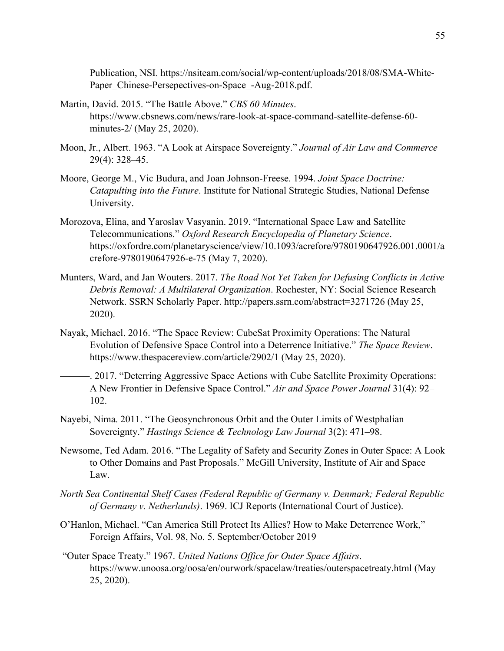Publication, NSI. https://nsiteam.com/social/wp-content/uploads/2018/08/SMA-White-Paper Chinese-Persepectives-on-Space -Aug-2018.pdf.

- Martin, David. 2015. "The Battle Above." *CBS 60 Minutes*. https://www.cbsnews.com/news/rare-look-at-space-command-satellite-defense-60 minutes-2/ (May 25, 2020).
- Moon, Jr., Albert. 1963. "A Look at Airspace Sovereignty." *Journal of Air Law and Commerce* 29(4): 328–45.
- Moore, George M., Vic Budura, and Joan Johnson-Freese. 1994. *Joint Space Doctrine: Catapulting into the Future*. Institute for National Strategic Studies, National Defense University.
- Morozova, Elina, and Yaroslav Vasyanin. 2019. "International Space Law and Satellite Telecommunications." *Oxford Research Encyclopedia of Planetary Science*. https://oxfordre.com/planetaryscience/view/10.1093/acrefore/9780190647926.001.0001/a crefore-9780190647926-e-75 (May 7, 2020).
- Munters, Ward, and Jan Wouters. 2017. *The Road Not Yet Taken for Defusing Conflicts in Active Debris Removal: A Multilateral Organization*. Rochester, NY: Social Science Research Network. SSRN Scholarly Paper. http://papers.ssrn.com/abstract=3271726 (May 25, 2020).
- Nayak, Michael. 2016. "The Space Review: CubeSat Proximity Operations: The Natural Evolution of Defensive Space Control into a Deterrence Initiative." *The Space Review*. https://www.thespacereview.com/article/2902/1 (May 25, 2020).
- ———. 2017. "Deterring Aggressive Space Actions with Cube Satellite Proximity Operations: A New Frontier in Defensive Space Control." *Air and Space Power Journal* 31(4): 92– 102.
- Nayebi, Nima. 2011. "The Geosynchronous Orbit and the Outer Limits of Westphalian Sovereignty." *Hastings Science & Technology Law Journal* 3(2): 471–98.
- Newsome, Ted Adam. 2016. "The Legality of Safety and Security Zones in Outer Space: A Look to Other Domains and Past Proposals." McGill University, Institute of Air and Space Law.
- *North Sea Continental Shelf Cases (Federal Republic of Germany v. Denmark; Federal Republic of Germany v. Netherlands)*. 1969. ICJ Reports (International Court of Justice).
- O'Hanlon, Michael. "Can America Still Protect Its Allies? How to Make Deterrence Work," Foreign Affairs, Vol. 98, No. 5. September/October 2019
- "Outer Space Treaty." 1967. *United Nations Office for Outer Space Affairs*. https://www.unoosa.org/oosa/en/ourwork/spacelaw/treaties/outerspacetreaty.html (May 25, 2020).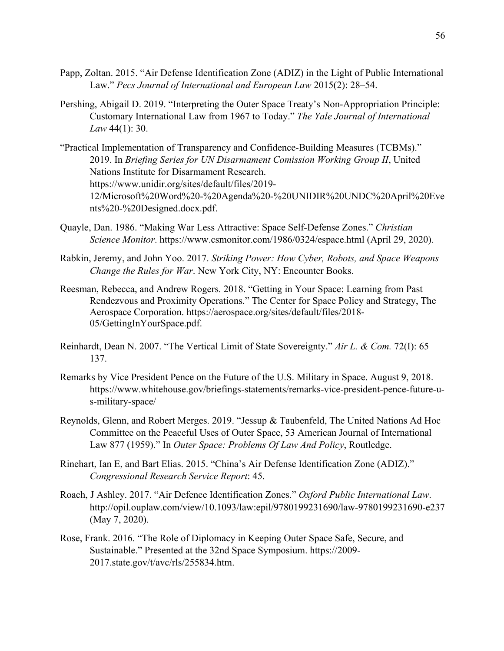- Papp, Zoltan. 2015. "Air Defense Identification Zone (ADIZ) in the Light of Public International Law." *Pecs Journal of International and European Law* 2015(2): 28–54.
- Pershing, Abigail D. 2019. "Interpreting the Outer Space Treaty's Non-Appropriation Principle: Customary International Law from 1967 to Today." *The Yale Journal of International Law* 44(1): 30.
- "Practical Implementation of Transparency and Confidence-Building Measures (TCBMs)." 2019. In *Briefing Series for UN Disarmament Comission Working Group II*, United Nations Institute for Disarmament Research. https://www.unidir.org/sites/default/files/2019- 12/Microsoft%20Word%20-%20Agenda%20-%20UNIDIR%20UNDC%20April%20Eve nts%20-%20Designed.docx.pdf.
- Quayle, Dan. 1986. "Making War Less Attractive: Space Self-Defense Zones." *Christian Science Monitor*. https://www.csmonitor.com/1986/0324/espace.html (April 29, 2020).
- Rabkin, Jeremy, and John Yoo. 2017. *Striking Power: How Cyber, Robots, and Space Weapons Change the Rules for War*. New York City, NY: Encounter Books.
- Reesman, Rebecca, and Andrew Rogers. 2018. "Getting in Your Space: Learning from Past Rendezvous and Proximity Operations." The Center for Space Policy and Strategy, The Aerospace Corporation. https://aerospace.org/sites/default/files/2018- 05/GettingInYourSpace.pdf.
- Reinhardt, Dean N. 2007. "The Vertical Limit of State Sovereignty." *Air L. & Com.* 72(I): 65– 137.
- Remarks by Vice President Pence on the Future of the U.S. Military in Space. August 9, 2018. https://www.whitehouse.gov/briefings-statements/remarks-vice-president-pence-future-us-military-space/
- Reynolds, Glenn, and Robert Merges. 2019. "Jessup & Taubenfeld, The United Nations Ad Hoc Committee on the Peaceful Uses of Outer Space, 53 American Journal of International Law 877 (1959)." In *Outer Space: Problems Of Law And Policy*, Routledge.
- Rinehart, Ian E, and Bart Elias. 2015. "China's Air Defense Identification Zone (ADIZ)." *Congressional Research Service Report*: 45.
- Roach, J Ashley. 2017. "Air Defence Identification Zones." *Oxford Public International Law*. http://opil.ouplaw.com/view/10.1093/law:epil/9780199231690/law-9780199231690-e237 (May 7, 2020).
- Rose, Frank. 2016. "The Role of Diplomacy in Keeping Outer Space Safe, Secure, and Sustainable." Presented at the 32nd Space Symposium. https://2009- 2017.state.gov/t/avc/rls/255834.htm.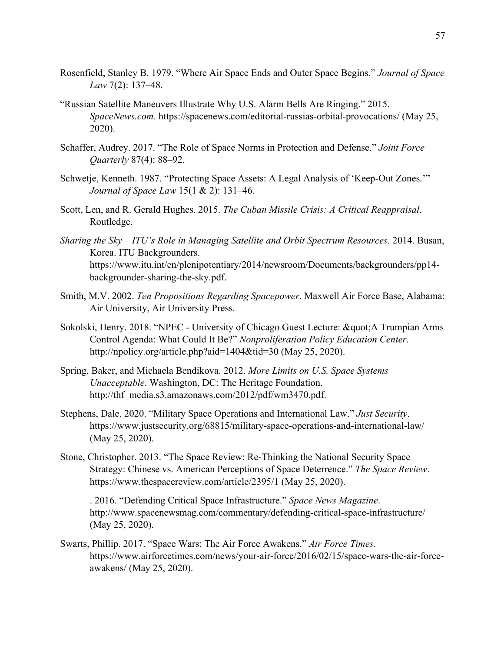- Rosenfield, Stanley B. 1979. "Where Air Space Ends and Outer Space Begins." *Journal of Space Law* 7(2): 137–48.
- "Russian Satellite Maneuvers Illustrate Why U.S. Alarm Bells Are Ringing." 2015. *SpaceNews.com*. https://spacenews.com/editorial-russias-orbital-provocations/ (May 25, 2020).
- Schaffer, Audrey. 2017. "The Role of Space Norms in Protection and Defense." *Joint Force Quarterly* 87(4): 88–92.
- Schwetje, Kenneth. 1987. "Protecting Space Assets: A Legal Analysis of 'Keep-Out Zones.'" *Journal of Space Law* 15(1 & 2): 131–46.
- Scott, Len, and R. Gerald Hughes. 2015. *The Cuban Missile Crisis: A Critical Reappraisal*. Routledge.
- *Sharing the Sky – ITU's Role in Managing Satellite and Orbit Spectrum Resources*. 2014. Busan, Korea. ITU Backgrounders. https://www.itu.int/en/plenipotentiary/2014/newsroom/Documents/backgrounders/pp14 backgrounder-sharing-the-sky.pdf.
- Smith, M.V. 2002. *Ten Propositions Regarding Spacepower*. Maxwell Air Force Base, Alabama: Air University, Air University Press.
- Sokolski, Henry. 2018. "NPEC University of Chicago Guest Lecture: & quot; A Trumpian Arms Control Agenda: What Could It Be?" *Nonproliferation Policy Education Center*. http://npolicy.org/article.php?aid=1404&tid=30 (May 25, 2020).
- Spring, Baker, and Michaela Bendikova. 2012. *More Limits on U.S. Space Systems Unacceptable*. Washington, DC: The Heritage Foundation. http://thf\_media.s3.amazonaws.com/2012/pdf/wm3470.pdf.
- Stephens, Dale. 2020. "Military Space Operations and International Law." *Just Security*. https://www.justsecurity.org/68815/military-space-operations-and-international-law/ (May 25, 2020).
- Stone, Christopher. 2013. "The Space Review: Re-Thinking the National Security Space Strategy: Chinese vs. American Perceptions of Space Deterrence." *The Space Review*. https://www.thespacereview.com/article/2395/1 (May 25, 2020).
	- ———. 2016. "Defending Critical Space Infrastructure." *Space News Magazine*. http://www.spacenewsmag.com/commentary/defending-critical-space-infrastructure/ (May 25, 2020).
- Swarts, Phillip. 2017. "Space Wars: The Air Force Awakens." *Air Force Times*. https://www.airforcetimes.com/news/your-air-force/2016/02/15/space-wars-the-air-forceawakens/ (May 25, 2020).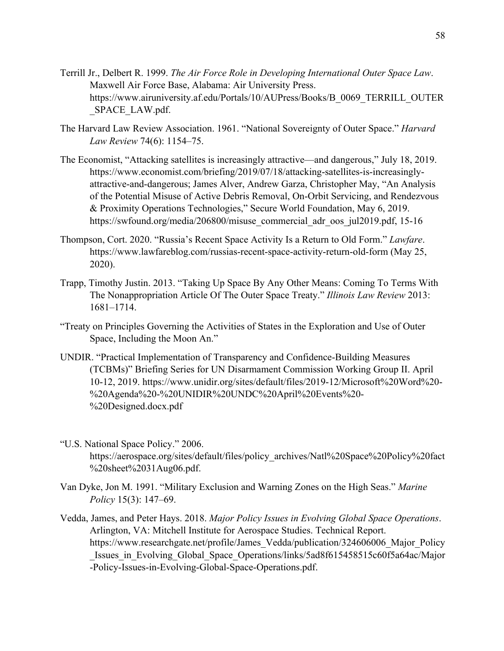- Terrill Jr., Delbert R. 1999. *The Air Force Role in Developing International Outer Space Law*. Maxwell Air Force Base, Alabama: Air University Press. https://www.airuniversity.af.edu/Portals/10/AUPress/Books/B\_0069\_TERRILL\_OUTER \_SPACE\_LAW.pdf.
- The Harvard Law Review Association. 1961. "National Sovereignty of Outer Space." *Harvard Law Review* 74(6): 1154–75.
- The Economist, "Attacking satellites is increasingly attractive—and dangerous," July 18, 2019. https://www.economist.com/briefing/2019/07/18/attacking-satellites-is-increasinglyattractive-and-dangerous; James Alver, Andrew Garza, Christopher May, "An Analysis of the Potential Misuse of Active Debris Removal, On-Orbit Servicing, and Rendezvous & Proximity Operations Technologies," Secure World Foundation, May 6, 2019. https://swfound.org/media/206800/misuse\_commercial\_adr\_oos\_jul2019.pdf, 15-16
- Thompson, Cort. 2020. "Russia's Recent Space Activity Is a Return to Old Form." *Lawfare*. https://www.lawfareblog.com/russias-recent-space-activity-return-old-form (May 25, 2020).
- Trapp, Timothy Justin. 2013. "Taking Up Space By Any Other Means: Coming To Terms With The Nonappropriation Article Of The Outer Space Treaty." *Illinois Law Review* 2013: 1681–1714.
- "Treaty on Principles Governing the Activities of States in the Exploration and Use of Outer Space, Including the Moon An."
- UNDIR. "Practical Implementation of Transparency and Confidence-Building Measures (TCBMs)" Briefing Series for UN Disarmament Commission Working Group II. April 10-12, 2019. https://www.unidir.org/sites/default/files/2019-12/Microsoft%20Word%20- %20Agenda%20-%20UNIDIR%20UNDC%20April%20Events%20- %20Designed.docx.pdf
- "U.S. National Space Policy." 2006. https://aerospace.org/sites/default/files/policy\_archives/Natl%20Space%20Policy%20fact %20sheet%2031Aug06.pdf.
- Van Dyke, Jon M. 1991. "Military Exclusion and Warning Zones on the High Seas." *Marine Policy* 15(3): 147–69.
- Vedda, James, and Peter Hays. 2018. *Major Policy Issues in Evolving Global Space Operations*. Arlington, VA: Mitchell Institute for Aerospace Studies. Technical Report. https://www.researchgate.net/profile/James\_Vedda/publication/324606006\_Major\_Policy Issues in Evolving Global Space Operations/links/5ad8f615458515c60f5a64ac/Major -Policy-Issues-in-Evolving-Global-Space-Operations.pdf.